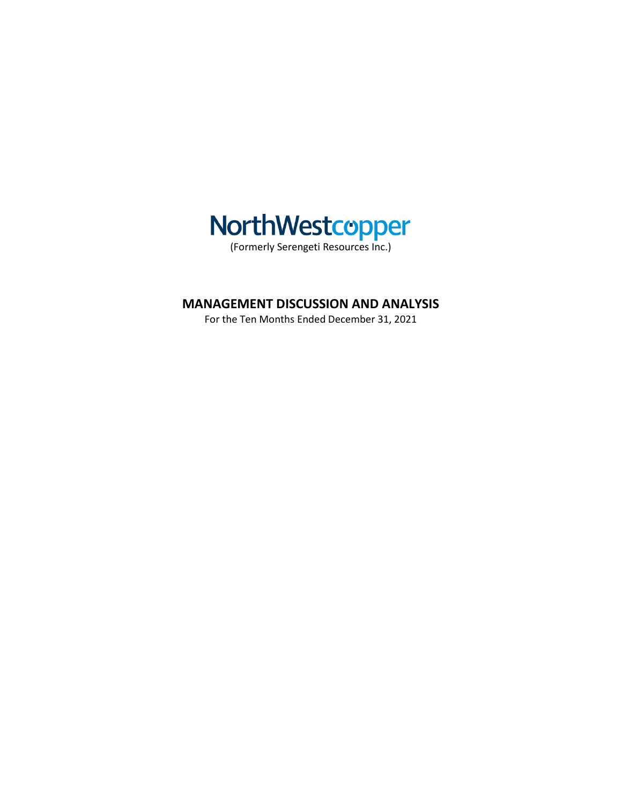

# **MANAGEMENT DISCUSSION AND ANALYSIS**

For the Ten Months Ended December 31, 2021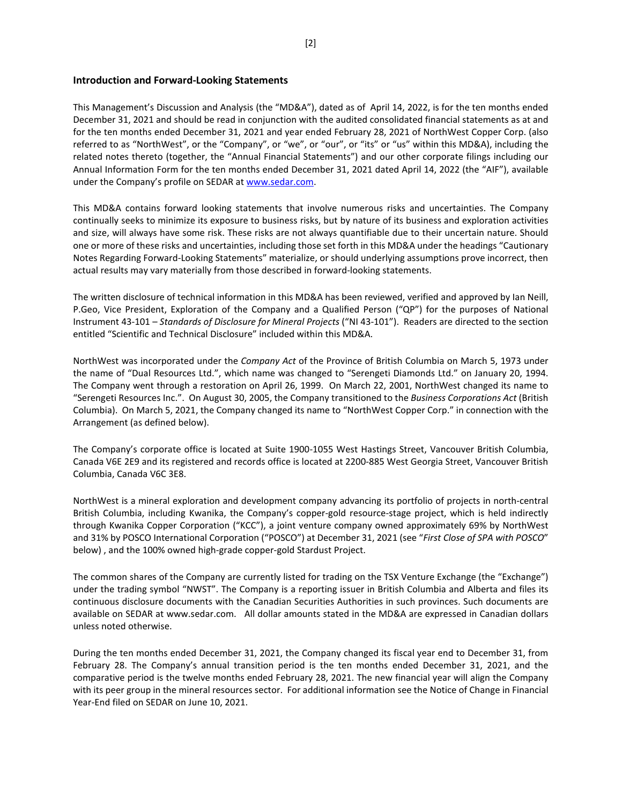### **Introduction and Forward-Looking Statements**

This Management's Discussion and Analysis (the "MD&A"), dated as of April 14, 2022, is for the ten months ended December 31, 2021 and should be read in conjunction with the audited consolidated financial statements as at and for the ten months ended December 31, 2021 and year ended February 28, 2021 of NorthWest Copper Corp. (also referred to as "NorthWest", or the "Company", or "we", or "our", or "its" or "us" within this MD&A), including the related notes thereto (together, the "Annual Financial Statements") and our other corporate filings including our Annual Information Form for the ten months ended December 31, 2021 dated April 14, 2022 (the "AIF"), available under the Company's profile on SEDAR a[t www.sedar.com.](http://www.sedar.com/)

This MD&A contains forward looking statements that involve numerous risks and uncertainties. The Company continually seeks to minimize its exposure to business risks, but by nature of its business and exploration activities and size, will always have some risk. These risks are not always quantifiable due to their uncertain nature. Should one or more of these risks and uncertainties, including those set forth in this MD&A under the headings "Cautionary Notes Regarding Forward-Looking Statements" materialize, or should underlying assumptions prove incorrect, then actual results may vary materially from those described in forward-looking statements.

The written disclosure of technical information in this MD&A has been reviewed, verified and approved by Ian Neill, P.Geo, Vice President, Exploration of the Company and a Qualified Person ("QP") for the purposes of National Instrument 43-101 – *Standards of Disclosure for Mineral Projects* ("NI 43-101"). Readers are directed to the section entitled "Scientific and Technical Disclosure" included within this MD&A.

NorthWest was incorporated under the *Company Act* of the Province of British Columbia on March 5, 1973 under the name of "Dual Resources Ltd.", which name was changed to "Serengeti Diamonds Ltd." on January 20, 1994. The Company went through a restoration on April 26, 1999. On March 22, 2001, NorthWest changed its name to "Serengeti Resources Inc.". On August 30, 2005, the Company transitioned to the *Business Corporations Act* (British Columbia). On March 5, 2021, the Company changed its name to "NorthWest Copper Corp." in connection with the Arrangement (as defined below).

The Company's corporate office is located at Suite 1900-1055 West Hastings Street, Vancouver British Columbia, Canada V6E 2E9 and its registered and records office is located at 2200-885 West Georgia Street, Vancouver British Columbia, Canada V6C 3E8.

NorthWest is a mineral exploration and development company advancing its portfolio of projects in north-central British Columbia, including Kwanika, the Company's copper-gold resource-stage project, which is held indirectly through Kwanika Copper Corporation ("KCC"), a joint venture company owned approximately 69% by NorthWest and 31% by POSCO International Corporation ("POSCO") at December 31, 2021 (see "*First Close of SPA with POSCO*" below) , and the 100% owned high-grade copper-gold Stardust Project.

The common shares of the Company are currently listed for trading on the TSX Venture Exchange (the "Exchange") under the trading symbol "NWST". The Company is a reporting issuer in British Columbia and Alberta and files its continuous disclosure documents with the Canadian Securities Authorities in such provinces. Such documents are available on SEDAR at www.sedar.com. All dollar amounts stated in the MD&A are expressed in Canadian dollars unless noted otherwise.

During the ten months ended December 31, 2021, the Company changed its fiscal year end to December 31, from February 28. The Company's annual transition period is the ten months ended December 31, 2021, and the comparative period is the twelve months ended February 28, 2021. The new financial year will align the Company with its peer group in the mineral resources sector. For additional information see the Notice of Change in Financial Year-End filed on SEDAR on June 10, 2021.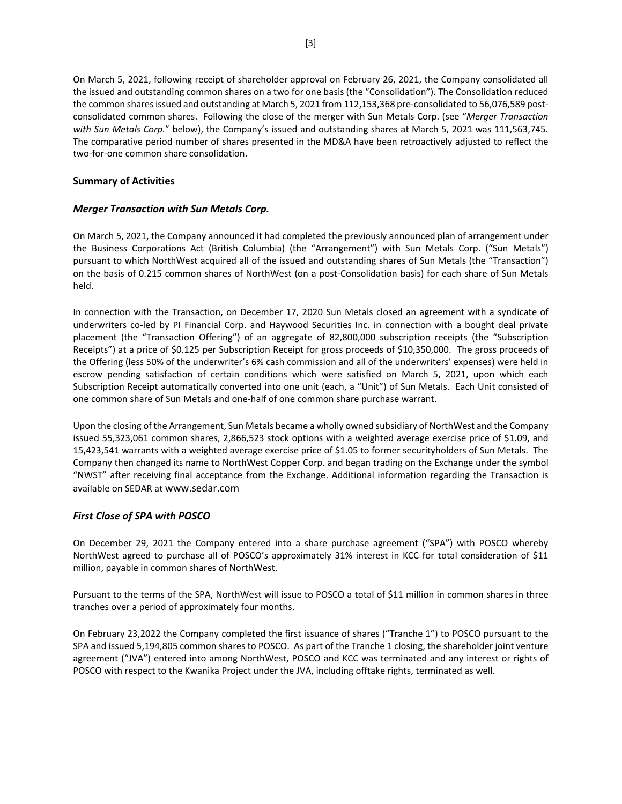On March 5, 2021, following receipt of shareholder approval on February 26, 2021, the Company consolidated all the issued and outstanding common shares on a two for one basis (the "Consolidation"). The Consolidation reduced the common shares issued and outstanding at March 5, 2021 from 112,153,368 pre-consolidated to 56,076,589 postconsolidated common shares. Following the close of the merger with Sun Metals Corp. (see "*Merger Transaction with Sun Metals Corp.*" below), the Company's issued and outstanding shares at March 5, 2021 was 111,563,745. The comparative period number of shares presented in the MD&A have been retroactively adjusted to reflect the two-for-one common share consolidation.

# **Summary of Activities**

# *Merger Transaction with Sun Metals Corp.*

On March 5, 2021, the Company announced it had completed the previously announced plan of arrangement under the Business Corporations Act (British Columbia) (the "Arrangement") with Sun Metals Corp. ("Sun Metals") pursuant to which NorthWest acquired all of the issued and outstanding shares of Sun Metals (the "Transaction") on the basis of 0.215 common shares of NorthWest (on a post-Consolidation basis) for each share of Sun Metals held.

In connection with the Transaction, on December 17, 2020 Sun Metals closed an agreement with a syndicate of underwriters co-led by PI Financial Corp. and Haywood Securities Inc. in connection with a bought deal private placement (the "Transaction Offering") of an aggregate of 82,800,000 subscription receipts (the "Subscription Receipts") at a price of \$0.125 per Subscription Receipt for gross proceeds of \$10,350,000. The gross proceeds of the Offering (less 50% of the underwriter's 6% cash commission and all of the underwriters' expenses) were held in escrow pending satisfaction of certain conditions which were satisfied on March 5, 2021, upon which each Subscription Receipt automatically converted into one unit (each, a "Unit") of Sun Metals. Each Unit consisted of one common share of Sun Metals and one-half of one common share purchase warrant.

Upon the closing of the Arrangement, Sun Metals became a wholly owned subsidiary of NorthWest and the Company issued 55,323,061 common shares, 2,866,523 stock options with a weighted average exercise price of \$1.09, and 15,423,541 warrants with a weighted average exercise price of \$1.05 to former securityholders of Sun Metals. The Company then changed its name to NorthWest Copper Corp. and began trading on the Exchange under the symbol "NWST" after receiving final acceptance from the Exchange. Additional information regarding the Transaction is available on SEDAR a[t www.sedar.com](http://www.sedar.com/)

# *First Close of SPA with POSCO*

On December 29, 2021 the Company entered into a share purchase agreement ("SPA") with POSCO whereby NorthWest agreed to purchase all of POSCO's approximately 31% interest in KCC for total consideration of \$11 million, payable in common shares of NorthWest.

Pursuant to the terms of the SPA, NorthWest will issue to POSCO a total of \$11 million in common shares in three tranches over a period of approximately four months.

On February 23,2022 the Company completed the first issuance of shares ("Tranche 1") to POSCO pursuant to the SPA and issued 5,194,805 common shares to POSCO. As part of the Tranche 1 closing, the shareholder joint venture agreement ("JVA") entered into among NorthWest, POSCO and KCC was terminated and any interest or rights of POSCO with respect to the Kwanika Project under the JVA, including offtake rights, terminated as well.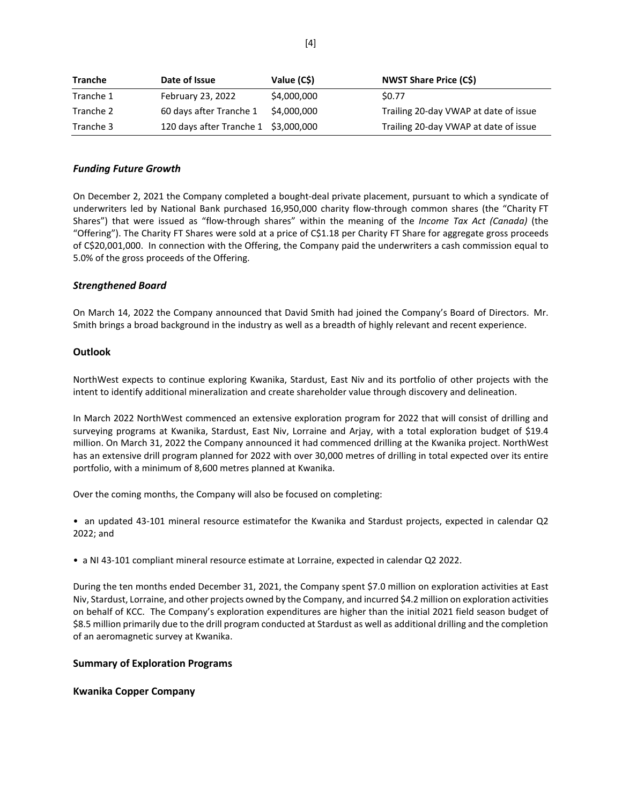| <b>Tranche</b> | Date of Issue                        | Value (C\$) | <b>NWST Share Price (C\$)</b>         |
|----------------|--------------------------------------|-------------|---------------------------------------|
| Tranche 1      | February 23, 2022                    | \$4,000,000 | \$0.77                                |
| Tranche 2      | 60 days after Tranche 1              | \$4,000,000 | Trailing 20-day VWAP at date of issue |
| Tranche 3      | 120 days after Tranche 1 \$3,000,000 |             | Trailing 20-day VWAP at date of issue |

# *Funding Future Growth*

On December 2, 2021 the Company completed a bought-deal private placement, pursuant to which a syndicate of underwriters led by National Bank purchased 16,950,000 charity flow-through common shares (the "Charity FT Shares") that were issued as "flow-through shares" within the meaning of the *Income Tax Act (Canada)* (the "Offering"). The Charity FT Shares were sold at a price of C\$1.18 per Charity FT Share for aggregate gross proceeds of C\$20,001,000. In connection with the Offering, the Company paid the underwriters a cash commission equal to 5.0% of the gross proceeds of the Offering.

# *Strengthened Board*

On March 14, 2022 the Company announced that David Smith had joined the Company's Board of Directors. Mr. Smith brings a broad background in the industry as well as a breadth of highly relevant and recent experience.

### **Outlook**

NorthWest expects to continue exploring Kwanika, Stardust, East Niv and its portfolio of other projects with the intent to identify additional mineralization and create shareholder value through discovery and delineation.

In March 2022 NorthWest commenced an extensive exploration program for 2022 that will consist of drilling and surveying programs at Kwanika, Stardust, East Niv, Lorraine and Arjay, with a total exploration budget of \$19.4 million. On March 31, 2022 the Company announced it had commenced drilling at the Kwanika project. NorthWest has an extensive drill program planned for 2022 with over 30,000 metres of drilling in total expected over its entire portfolio, with a minimum of 8,600 metres planned at Kwanika.

Over the coming months, the Company will also be focused on completing:

• an updated 43-101 mineral resource estimatefor the Kwanika and Stardust projects, expected in calendar Q2 2022; and

• a NI 43-101 compliant mineral resource estimate at Lorraine, expected in calendar Q2 2022.

During the ten months ended December 31, 2021, the Company spent \$7.0 million on exploration activities at East Niv, Stardust, Lorraine, and other projects owned by the Company, and incurred \$4.2 million on exploration activities on behalf of KCC. The Company's exploration expenditures are higher than the initial 2021 field season budget of \$8.5 million primarily due to the drill program conducted at Stardust as well as additional drilling and the completion of an aeromagnetic survey at Kwanika.

### **Summary of Exploration Programs**

### **Kwanika Copper Company**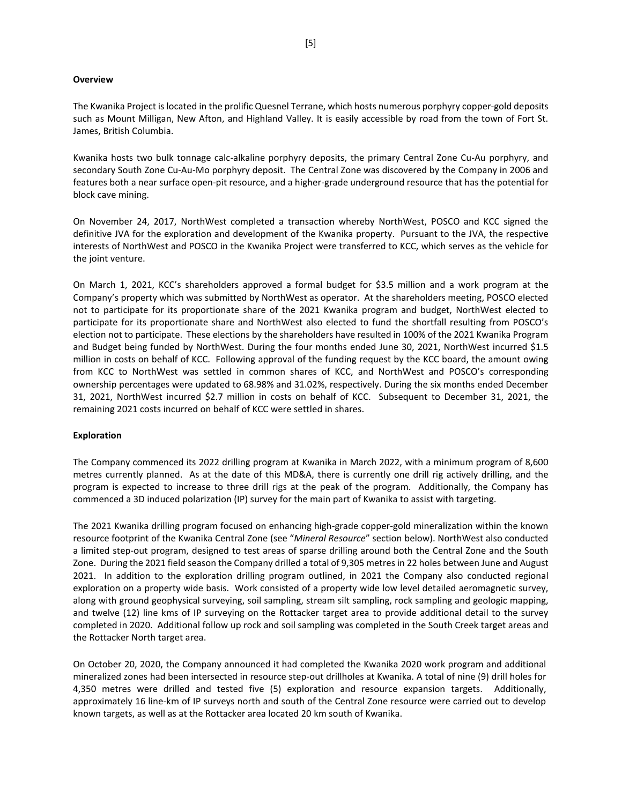### **Overview**

The Kwanika Project is located in the prolific Quesnel Terrane, which hosts numerous porphyry copper-gold deposits such as Mount Milligan, New Afton, and Highland Valley. It is easily accessible by road from the town of Fort St. James, British Columbia.

Kwanika hosts two bulk tonnage calc-alkaline porphyry deposits, the primary Central Zone Cu-Au porphyry, and secondary South Zone Cu-Au-Mo porphyry deposit. The Central Zone was discovered by the Company in 2006 and features both a near surface open-pit resource, and a higher-grade underground resource that has the potential for block cave mining.

On November 24, 2017, NorthWest completed a transaction whereby NorthWest, POSCO and KCC signed the definitive JVA for the exploration and development of the Kwanika property. Pursuant to the JVA, the respective interests of NorthWest and POSCO in the Kwanika Project were transferred to KCC, which serves as the vehicle for the joint venture.

On March 1, 2021, KCC's shareholders approved a formal budget for \$3.5 million and a work program at the Company's property which was submitted by NorthWest as operator. At the shareholders meeting, POSCO elected not to participate for its proportionate share of the 2021 Kwanika program and budget, NorthWest elected to participate for its proportionate share and NorthWest also elected to fund the shortfall resulting from POSCO's election not to participate. These elections by the shareholders have resulted in 100% of the 2021 Kwanika Program and Budget being funded by NorthWest. During the four months ended June 30, 2021, NorthWest incurred \$1.5 million in costs on behalf of KCC. Following approval of the funding request by the KCC board, the amount owing from KCC to NorthWest was settled in common shares of KCC, and NorthWest and POSCO's corresponding ownership percentages were updated to 68.98% and 31.02%, respectively. During the six months ended December 31, 2021, NorthWest incurred \$2.7 million in costs on behalf of KCC. Subsequent to December 31, 2021, the remaining 2021 costs incurred on behalf of KCC were settled in shares.

### **Exploration**

The Company commenced its 2022 drilling program at Kwanika in March 2022, with a minimum program of 8,600 metres currently planned. As at the date of this MD&A, there is currently one drill rig actively drilling, and the program is expected to increase to three drill rigs at the peak of the program. Additionally, the Company has commenced a 3D induced polarization (IP) survey for the main part of Kwanika to assist with targeting.

The 2021 Kwanika drilling program focused on enhancing high-grade copper-gold mineralization within the known resource footprint of the Kwanika Central Zone (see "*Mineral Resource*" section below). NorthWest also conducted a limited step-out program, designed to test areas of sparse drilling around both the Central Zone and the South Zone. During the 2021 field season the Company drilled a total of 9,305 metres in 22 holes between June and August 2021. In addition to the exploration drilling program outlined, in 2021 the Company also conducted regional exploration on a property wide basis. Work consisted of a property wide low level detailed aeromagnetic survey, along with ground geophysical surveying, soil sampling, stream silt sampling, rock sampling and geologic mapping, and twelve (12) line kms of IP surveying on the Rottacker target area to provide additional detail to the survey completed in 2020. Additional follow up rock and soil sampling was completed in the South Creek target areas and the Rottacker North target area.

On October 20, 2020, the Company announced it had completed the Kwanika 2020 work program and additional mineralized zones had been intersected in resource step-out drillholes at Kwanika. A total of nine (9) drill holes for 4,350 metres were drilled and tested five (5) exploration and resource expansion targets. Additionally, approximately 16 line-km of IP surveys north and south of the Central Zone resource were carried out to develop known targets, as well as at the Rottacker area located 20 km south of Kwanika.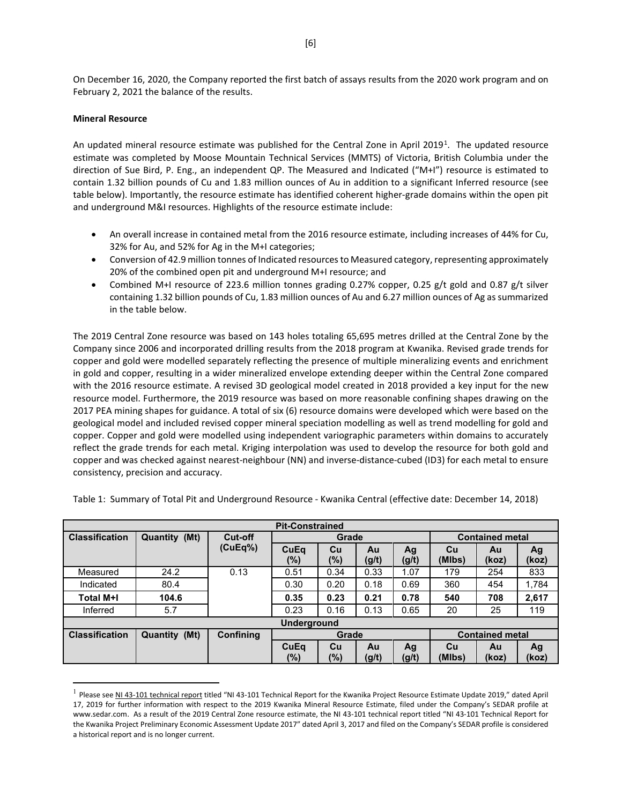On December 16, 2020, the Company reported the first batch of assays results from the 2020 work program and on February 2, 2021 the balance of the results.

# **Mineral Resource**

An updated mineral resource estimate was published for the Central Zone in April 20[1](#page-5-0)9<sup>1</sup>. The updated resource estimate was completed by Moose Mountain Technical Services (MMTS) of Victoria, British Columbia under the direction of Sue Bird, P. Eng., an independent QP. The Measured and Indicated ("M+I") resource is estimated to contain 1.32 billion pounds of Cu and 1.83 million ounces of Au in addition to a significant Inferred resource (see table below). Importantly, the resource estimate has identified coherent higher-grade domains within the open pit and underground M&I resources. Highlights of the resource estimate include:

- An overall increase in contained metal from the 2016 resource estimate, including increases of 44% for Cu, 32% for Au, and 52% for Ag in the M+I categories;
- Conversion of 42.9 million tonnes of Indicated resources to Measured category, representing approximately 20% of the combined open pit and underground M+I resource; and
- Combined M+I resource of 223.6 million tonnes grading 0.27% copper, 0.25 g/t gold and 0.87 g/t silver containing 1.32 billion pounds of Cu, 1.83 million ounces of Au and 6.27 million ounces of Ag as summarized in the table below.

The 2019 Central Zone resource was based on 143 holes totaling 65,695 metres drilled at the Central Zone by the Company since 2006 and incorporated drilling results from the 2018 program at Kwanika. Revised grade trends for copper and gold were modelled separately reflecting the presence of multiple mineralizing events and enrichment in gold and copper, resulting in a wider mineralized envelope extending deeper within the Central Zone compared with the 2016 resource estimate. A revised 3D geological model created in 2018 provided a key input for the new resource model. Furthermore, the 2019 resource was based on more reasonable confining shapes drawing on the 2017 PEA mining shapes for guidance. A total of six (6) resource domains were developed which were based on the geological model and included revised copper mineral speciation modelling as well as trend modelling for gold and copper. Copper and gold were modelled using independent variographic parameters within domains to accurately reflect the grade trends for each metal. Kriging interpolation was used to develop the resource for both gold and copper and was checked against nearest-neighbour (NN) and inverse-distance-cubed (ID3) for each metal to ensure consistency, precision and accuracy.

| <b>Pit-Constrained</b> |               |           |                    |               |             |             |              |                        |             |  |
|------------------------|---------------|-----------|--------------------|---------------|-------------|-------------|--------------|------------------------|-------------|--|
| <b>Classification</b>  | Quantity (Mt) | Cut-off   |                    | Grade         |             |             |              | <b>Contained metal</b> |             |  |
|                        |               | (CuEq%)   | CuEq<br>$(\%)$     | Cu<br>$(\%)$  | Au<br>(g/t) | Ag<br>(g/t) | Cu<br>(MIbs) | Au<br>(koz)            | Ag<br>(koz) |  |
| Measured               | 24.2          | 0.13      | 0.51               | 0.34          | 0.33        | 1.07        | 179          | 254                    | 833         |  |
| Indicated              | 80.4          |           | 0.30               | 0.20          | 0.18        | 0.69        | 360          | 454                    | 1,784       |  |
| <b>Total M+I</b>       | 104.6         |           | 0.35               | 0.23          | 0.21        | 0.78        | 540          | 708                    | 2,617       |  |
| Inferred               | 5.7           |           | 0.23               | 0.16          | 0.13        | 0.65        | 20           | 25                     | 119         |  |
|                        |               |           | <b>Underground</b> |               |             |             |              |                        |             |  |
| <b>Classification</b>  | Quantity (Mt) | Confining |                    | Grade         |             |             |              | <b>Contained metal</b> |             |  |
|                        |               |           | CuEq<br>(%)        | Cu<br>$(\% )$ | Au<br>(g/t) | Ag<br>(g/t) | Cu<br>(MIbs) | Au<br>(koz)            | Ag<br>(koz) |  |

Table 1: Summary of Total Pit and Underground Resource - Kwanika Central (effective date: December 14, 2018)

<span id="page-5-0"></span><sup>&</sup>lt;sup>1</sup> Please se[e NI 43-101 technical report](https://serengetiresources.com/site/assets/files/1510/ni43-101-serengetikwanika-rev-final-04172019.pdf) titled "NI 43-101 Technical Report for the Kwanika Project Resource Estimate Update 2019," dated April 17, 2019 for further information with respect to the 2019 Kwanika Mineral Resource Estimate, filed under the Company's SEDAR profile at [www.sedar.com.](http://www.sedar.com/) As a result of the 2019 Central Zone resource estimate, the NI 43-101 technical report titled "NI 43-101 Technical Report for the Kwanika Project Preliminary Economic Assessment Update 2017" dated April 3, 2017 and filed on the Company's SEDAR profile is considered a historical report and is no longer current.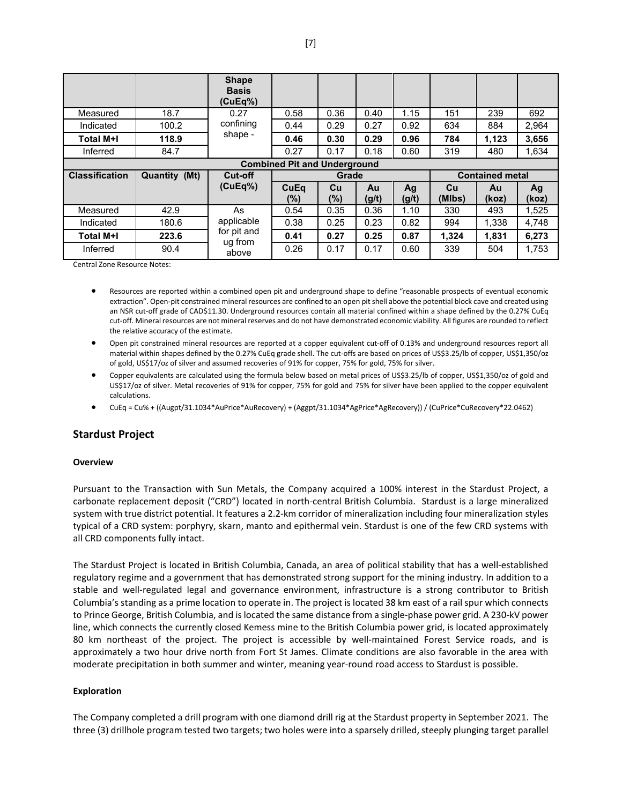|                       |                                     | <b>Shape</b><br><b>Basis</b><br>(CuEq%) |                                 |        |       |       |        |       |       |
|-----------------------|-------------------------------------|-----------------------------------------|---------------------------------|--------|-------|-------|--------|-------|-------|
| Measured              | 18.7                                | 0.27                                    | 0.58                            | 0.36   | 0.40  | 1.15  | 151    | 239   | 692   |
| Indicated             | 100.2                               | confining                               | 0.44                            | 0.29   | 0.27  | 0.92  | 634    | 884   | 2.964 |
| <b>Total M+I</b>      | 118.9                               | shape -                                 | 0.46                            | 0.30   | 0.29  | 0.96  | 784    | 1.123 | 3,656 |
| Inferred              | 84.7                                |                                         | 0.27                            | 0.17   | 0.18  | 0.60  | 319    | 480   | 1,634 |
|                       | <b>Combined Pit and Underground</b> |                                         |                                 |        |       |       |        |       |       |
| <b>Classification</b> | Quantity (Mt)                       | Cut-off                                 | <b>Contained metal</b><br>Grade |        |       |       |        |       |       |
|                       |                                     |                                         |                                 |        |       |       |        |       |       |
|                       |                                     | (CuEq%)                                 | CuEq                            | Cu     | Au    | Ag    | Cu     | Au    | Ag    |
|                       |                                     |                                         | $(\%)$                          | $(\%)$ | (g/t) | (g/t) | (MIbs) | (koz) | (koz) |
| Measured              | 42.9                                | As                                      | 0.54                            | 0.35   | 0.36  | 1.10  | 330    | 493   | 1,525 |
| Indicated             | 180.6                               | applicable                              | 0.38                            | 0.25   | 0.23  | 0.82  | 994    | 1,338 | 4,748 |
| <b>Total M+I</b>      | 223.6                               | for pit and<br>ug from                  | 0.41                            | 0.27   | 0.25  | 0.87  | 1,324  | 1,831 | 6,273 |

Central Zone Resource Notes:

- Resources are reported within a combined open pit and underground shape to define "reasonable prospects of eventual economic extraction". Open-pit constrained mineral resources are confined to an open pit shell above the potential block cave and created using an NSR cut-off grade of CAD\$11.30. Underground resources contain all material confined within a shape defined by the 0.27% CuEq cut-off. Mineral resources are not mineral reserves and do not have demonstrated economic viability. All figures are rounded to reflect the relative accuracy of the estimate.
- Open pit constrained mineral resources are reported at a copper equivalent cut-off of 0.13% and underground resources report all material within shapes defined by the 0.27% CuEq grade shell. The cut-offs are based on prices of US\$3.25/lb of copper, US\$1,350/oz of gold, US\$17/oz of silver and assumed recoveries of 91% for copper, 75% for gold, 75% for silver.
- Copper equivalents are calculated using the formula below based on metal prices of US\$3.25/lb of copper, US\$1,350/oz of gold and US\$17/oz of silver. Metal recoveries of 91% for copper, 75% for gold and 75% for silver have been applied to the copper equivalent calculations.
- CuEq = Cu% + ((Augpt/31.1034\*AuPrice\*AuRecovery) + (Aggpt/31.1034\*AgPrice\*AgRecovery)) / (CuPrice\*CuRecovery\*22.0462)

### **Stardust Project**

#### **Overview**

Pursuant to the Transaction with Sun Metals, the Company acquired a 100% interest in the Stardust Project, a carbonate replacement deposit ("CRD") located in north-central British Columbia. Stardust is a large mineralized system with true district potential. It features a 2.2-km corridor of mineralization including four mineralization styles typical of a CRD system: porphyry, skarn, manto and epithermal vein. Stardust is one of the few CRD systems with all CRD components fully intact.

The Stardust Project is located in British Columbia, Canada, an area of political stability that has a well-established regulatory regime and a government that has demonstrated strong support for the mining industry. In addition to a stable and well-regulated legal and governance environment, infrastructure is a strong contributor to British Columbia's standing as a prime location to operate in. The project is located 38 km east of a rail spur which connects to Prince George, British Columbia, and is located the same distance from a single-phase power grid. A 230-kV power line, which connects the currently closed Kemess mine to the British Columbia power grid, is located approximately 80 km northeast of the project. The project is accessible by well-maintained Forest Service roads, and is approximately a two hour drive north from Fort St James. Climate conditions are also favorable in the area with moderate precipitation in both summer and winter, meaning year-round road access to Stardust is possible.

#### **Exploration**

The Company completed a drill program with one diamond drill rig at the Stardust property in September 2021. The three (3) drillhole program tested two targets; two holes were into a sparsely drilled, steeply plunging target parallel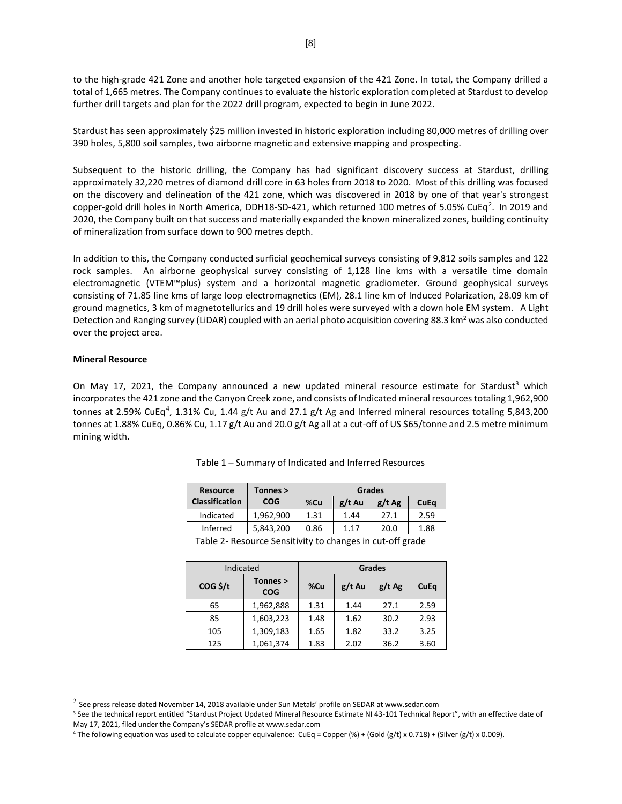to the high-grade 421 Zone and another hole targeted expansion of the 421 Zone. In total, the Company drilled a total of 1,665 metres. The Company continues to evaluate the historic exploration completed at Stardust to develop further drill targets and plan for the 2022 drill program, expected to begin in June 2022.

Stardust has seen approximately \$25 million invested in historic exploration including 80,000 metres of drilling over 390 holes, 5,800 soil samples, two airborne magnetic and extensive mapping and prospecting.

Subsequent to the historic drilling, the Company has had significant discovery success at Stardust, drilling approximately 32,220 metres of diamond drill core in 63 holes from 2018 to 2020. Most of this drilling was focused on the discovery and delineation of the 421 zone, which was discovered in 2018 by one of that year's strongest copper-gold drill holes in North America, DDH18-SD-4[2](#page-7-0)1, which returned 100 metres of 5.05% CuEq<sup>2</sup>. In 2019 and 2020, the Company built on that success and materially expanded the known mineralized zones, building continuity of mineralization from surface down to 900 metres depth.

In addition to this, the Company conducted surficial geochemical surveys consisting of 9,812 soils samples and 122 rock samples. An airborne geophysical survey consisting of 1,128 line kms with a versatile time domain electromagnetic (VTEM™plus) system and a horizontal magnetic gradiometer. Ground geophysical surveys consisting of 71.85 line kms of large loop electromagnetics (EM), 28.1 line km of Induced Polarization, 28.09 km of ground magnetics, 3 km of magnetotellurics and 19 drill holes were surveyed with a down hole EM system. A Light Detection and Ranging survey (LiDAR) coupled with an aerial photo acquisition covering 88.3 km<sup>2</sup> was also conducted over the project area.

### **Mineral Resource**

On May 17, 2021, the Company announced a new updated mineral resource estimate for Stardust<sup>[3](#page-7-1)</sup> which incorporates the 421 zone and the Canyon Creek zone, and consists of Indicated mineral resources totaling 1,962,900 tonnes at 2.59% CuEq<sup>[4](#page-7-2)</sup>, 1.31% Cu, 1.44 g/t Au and 27.1 g/t Ag and Inferred mineral resources totaling 5,843,200 tonnes at 1.88% CuEq, 0.86% Cu, 1.17 g/t Au and 20.0 g/t Ag all at a cut-off of US \$65/tonne and 2.5 metre minimum mining width.

| Tonnes >   | <b>Grades</b> |          |          |      |  |
|------------|---------------|----------|----------|------|--|
| <b>COG</b> | %Cu           | $g/t$ Au | $g/t$ Ag | CuEa |  |
| 1.962.900  | 1.31          | 1.44     | 27.1     | 2.59 |  |
| 5,843,200  | 0.86          | 1.17     | 20.0     | 1.88 |  |
|            |               |          |          |      |  |

Table 1 – Summary of Indicated and Inferred Resources

Table 2- Resource Sensitivity to changes in cut-off grade

| Indicated         |                        |      | <b>Grades</b> |          |      |
|-------------------|------------------------|------|---------------|----------|------|
| $COG \frac{1}{2}$ | Tonnes ><br><b>COG</b> | %Cu  | $g/t$ Au      | $g/t$ Ag | CuEq |
| 65                | 1,962,888              | 1.31 | 1.44          | 27.1     | 2.59 |
| 85                | 1,603,223              | 1.48 | 1.62          | 30.2     | 2.93 |
| 105               | 1,309,183              | 1.65 | 1.82          | 33.2     | 3.25 |
| 125               | 1,061,374              | 1.83 | 2.02          | 36.2     | 3.60 |

<span id="page-7-0"></span> $^{2}$  See press release dated November 14, 2018 available under Sun Metals' profile on SEDAR at www.sedar.com

<span id="page-7-1"></span><sup>&</sup>lt;sup>3</sup> See the technical report entitled "Stardust Project Updated Mineral Resource Estimate NI 43-101 Technical Report", with an effective date of May 17, 2021, filed under the Company's SEDAR profile a[t www.sedar.com](http://www.sedar.com/)

<span id="page-7-2"></span><sup>&</sup>lt;sup>4</sup> The following equation was used to calculate copper equivalence: CuEq = Copper (%) + (Gold (g/t) x 0.718) + (Silver (g/t) x 0.009).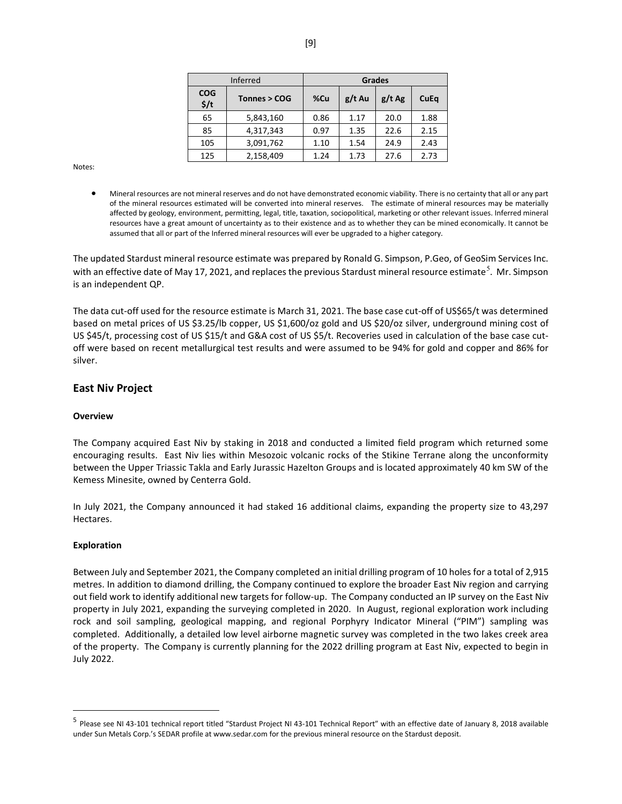|                                | <b>Inferred</b> | <b>Grades</b> |          |          |      |  |  |
|--------------------------------|-----------------|---------------|----------|----------|------|--|--|
| <b>COG</b><br>$\frac{2}{3}$ /t | Tonnes > COG    | %Cu           | $g/t$ Au | $g/t$ Ag | CuEq |  |  |
| 65                             | 5,843,160       | 0.86          | 1.17     | 20.0     | 1.88 |  |  |
| 85                             | 4,317,343       | 0.97          | 1.35     | 22.6     | 2.15 |  |  |
| 105                            | 3,091,762       | 1.10          | 1.54     | 24.9     | 2.43 |  |  |
| 125                            | 2,158,409       | 1.24          | 1.73     | 27.6     | 2.73 |  |  |

Notes:

• Mineral resources are not mineral reserves and do not have demonstrated economic viability. There is no certainty that all or any part of the mineral resources estimated will be converted into mineral reserves. The estimate of mineral resources may be materially affected by geology, environment, permitting, legal, title, taxation, sociopolitical, marketing or other relevant issues. Inferred mineral resources have a great amount of uncertainty as to their existence and as to whether they can be mined economically. It cannot be assumed that all or part of the Inferred mineral resources will ever be upgraded to a higher category.

The updated Stardust mineral resource estimate was prepared by Ronald G. Simpson, P.Geo, of GeoSim Services Inc. with an effective date of May 17, 2021, and replaces the previous Stardust mineral resource estimate<sup>[5](#page-8-0)</sup>. Mr. Simpson is an independent QP.

The data cut-off used for the resource estimate is March 31, 2021. The base case cut-off of US\$65/t was determined based on metal prices of US \$3.25/lb copper, US \$1,600/oz gold and US \$20/oz silver, underground mining cost of US \$45/t, processing cost of US \$15/t and G&A cost of US \$5/t. Recoveries used in calculation of the base case cutoff were based on recent metallurgical test results and were assumed to be 94% for gold and copper and 86% for silver.

# **East Niv Project**

### **Overview**

The Company acquired East Niv by staking in 2018 and conducted a limited field program which returned some encouraging results. East Niv lies within Mesozoic volcanic rocks of the Stikine Terrane along the unconformity between the Upper Triassic Takla and Early Jurassic Hazelton Groups and is located approximately 40 km SW of the Kemess Minesite, owned by Centerra Gold.

In July 2021, the Company announced it had staked 16 additional claims, expanding the property size to 43,297 Hectares.

#### **Exploration**

Between July and September 2021, the Company completed an initial drilling program of 10 holes for a total of 2,915 metres. In addition to diamond drilling, the Company continued to explore the broader East Niv region and carrying out field work to identify additional new targets for follow-up. The Company conducted an IP survey on the East Niv property in July 2021, expanding the surveying completed in 2020. In August, regional exploration work including rock and soil sampling, geological mapping, and regional Porphyry Indicator Mineral ("PIM") sampling was completed. Additionally, a detailed low level airborne magnetic survey was completed in the two lakes creek area of the property. The Company is currently planning for the 2022 drilling program at East Niv, expected to begin in July 2022.

<span id="page-8-0"></span><sup>&</sup>lt;sup>5</sup> Please see NI 43-101 technical report titled "Stardust Project NI 43-101 Technical Report" with an effective date of January 8, 2018 available under Sun Metals Corp.'s SEDAR profile a[t www.sedar.com](http://www.sedar.com/) for the previous mineral resource on the Stardust deposit.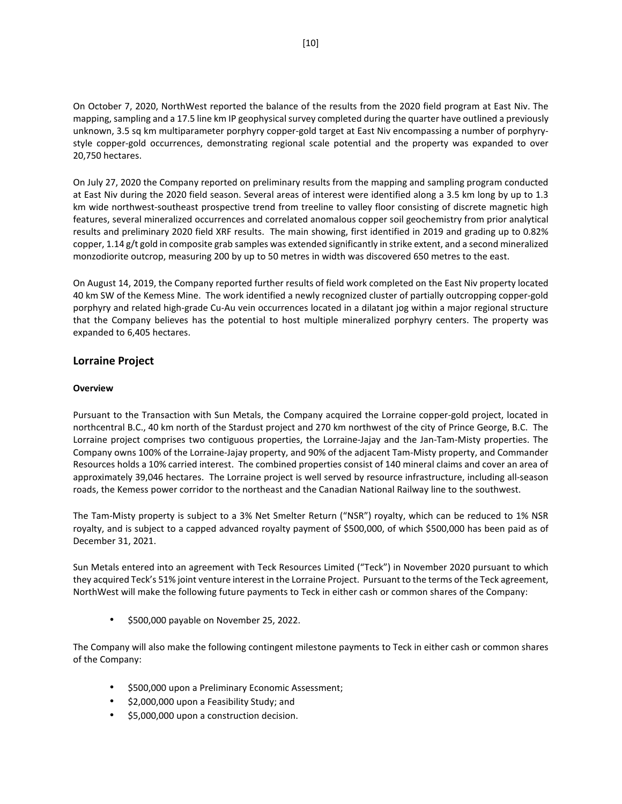On October 7, 2020, NorthWest reported the balance of the results from the 2020 field program at East Niv. The mapping, sampling and a 17.5 line km IP geophysical survey completed during the quarter have outlined a previously unknown, 3.5 sq km multiparameter porphyry copper-gold target at East Niv encompassing a number of porphyrystyle copper-gold occurrences, demonstrating regional scale potential and the property was expanded to over 20,750 hectares.

On July 27, 2020 the Company reported on preliminary results from the mapping and sampling program conducted at East Niv during the 2020 field season. Several areas of interest were identified along a 3.5 km long by up to 1.3 km wide northwest-southeast prospective trend from treeline to valley floor consisting of discrete magnetic high features, several mineralized occurrences and correlated anomalous copper soil geochemistry from prior analytical results and preliminary 2020 field XRF results. The main showing, first identified in 2019 and grading up to 0.82% copper, 1.14 g/t gold in composite grab samples was extended significantly in strike extent, and a second mineralized monzodiorite outcrop, measuring 200 by up to 50 metres in width was discovered 650 metres to the east.

On August 14, 2019, the Company reported further results of field work completed on the East Niv property located 40 km SW of the Kemess Mine. The work identified a newly recognized cluster of partially outcropping copper-gold porphyry and related high-grade Cu-Au vein occurrences located in a dilatant jog within a major regional structure that the Company believes has the potential to host multiple mineralized porphyry centers. The property was expanded to 6,405 hectares.

# **Lorraine Project**

# **Overview**

Pursuant to the Transaction with Sun Metals, the Company acquired the Lorraine copper-gold project, located in northcentral B.C., 40 km north of the Stardust project and 270 km northwest of the city of Prince George, B.C. The Lorraine project comprises two contiguous properties, the Lorraine-Jajay and the Jan-Tam-Misty properties. The Company owns 100% of the Lorraine-Jajay property, and 90% of the adjacent Tam-Misty property, and Commander Resources holds a 10% carried interest. The combined properties consist of 140 mineral claims and cover an area of approximately 39,046 hectares. The Lorraine project is well served by resource infrastructure, including all-season roads, the Kemess power corridor to the northeast and the Canadian National Railway line to the southwest.

The Tam-Misty property is subject to a 3% Net Smelter Return ("NSR") royalty, which can be reduced to 1% NSR royalty, and is subject to a capped advanced royalty payment of \$500,000, of which \$500,000 has been paid as of December 31, 2021.

Sun Metals entered into an agreement with Teck Resources Limited ("Teck") in November 2020 pursuant to which they acquired Teck's 51% joint venture interest in the Lorraine Project. Pursuant to the terms of the Teck agreement, NorthWest will make the following future payments to Teck in either cash or common shares of the Company:

• \$500,000 payable on November 25, 2022.

The Company will also make the following contingent milestone payments to Teck in either cash or common shares of the Company:

- \$500,000 upon a Preliminary Economic Assessment;
- \$2,000,000 upon a Feasibility Study; and
- \$5,000,000 upon a construction decision.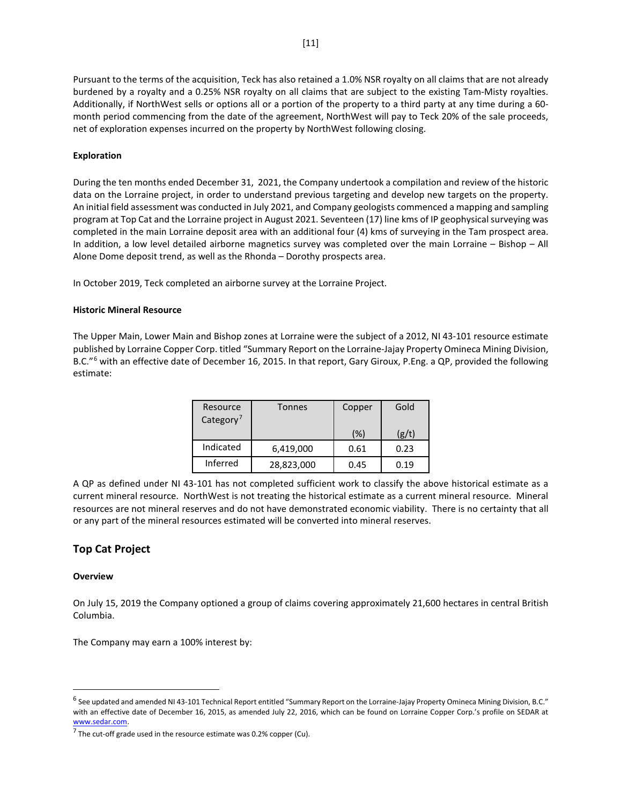Pursuant to the terms of the acquisition, Teck has also retained a 1.0% NSR royalty on all claims that are not already burdened by a royalty and a 0.25% NSR royalty on all claims that are subject to the existing Tam-Misty royalties. Additionally, if NorthWest sells or options all or a portion of the property to a third party at any time during a 60 month period commencing from the date of the agreement, NorthWest will pay to Teck 20% of the sale proceeds, net of exploration expenses incurred on the property by NorthWest following closing.

# **Exploration**

During the ten months ended December 31, 2021, the Company undertook a compilation and review of the historic data on the Lorraine project, in order to understand previous targeting and develop new targets on the property. An initial field assessment was conducted in July 2021, and Company geologists commenced a mapping and sampling program at Top Cat and the Lorraine project in August 2021. Seventeen (17) line kms of IP geophysical surveying was completed in the main Lorraine deposit area with an additional four (4) kms of surveying in the Tam prospect area. In addition, a low level detailed airborne magnetics survey was completed over the main Lorraine – Bishop – All Alone Dome deposit trend, as well as the Rhonda – Dorothy prospects area.

In October 2019, Teck completed an airborne survey at the Lorraine Project.

# **Historic Mineral Resource**

The Upper Main, Lower Main and Bishop zones at Lorraine were the subject of a 2012, NI 43-101 resource estimate published by Lorraine Copper Corp. titled "Summary Report on the Lorraine-Jajay Property Omineca Mining Division, B.C."<sup>[6](#page-10-0)</sup> with an effective date of December 16, 2015. In that report, Gary Giroux, P.Eng. a QP, provided the following estimate:

| Resource<br>Category <sup>7</sup> | Tonnes     | Copper | Gold  |
|-----------------------------------|------------|--------|-------|
|                                   |            | (%)    | (g/t) |
| Indicated                         | 6,419,000  | 0.61   | 0.23  |
| Inferred                          | 28,823,000 | 0.45   | 0.19  |

A QP as defined under NI 43-101 has not completed sufficient work to classify the above historical estimate as a current mineral resource. NorthWest is not treating the historical estimate as a current mineral resource. Mineral resources are not mineral reserves and do not have demonstrated economic viability. There is no certainty that all or any part of the mineral resources estimated will be converted into mineral reserves.

# **Top Cat Project**

### **Overview**

On July 15, 2019 the Company optioned a group of claims covering approximately 21,600 hectares in central British Columbia.

The Company may earn a 100% interest by:

<span id="page-10-0"></span><sup>6</sup> See updated and amended NI 43-101 Technical Report entitled "Summary Report on the Lorraine-Jajay Property Omineca Mining Division, B.C." with an effective date of December 16, 2015, as amended July 22, 2016, which can be found on Lorraine Copper Corp.'s profile on SEDAR at www.sedar.com.

<span id="page-10-1"></span> $7$  The cut-off grade used in the resource estimate was 0.2% copper (Cu).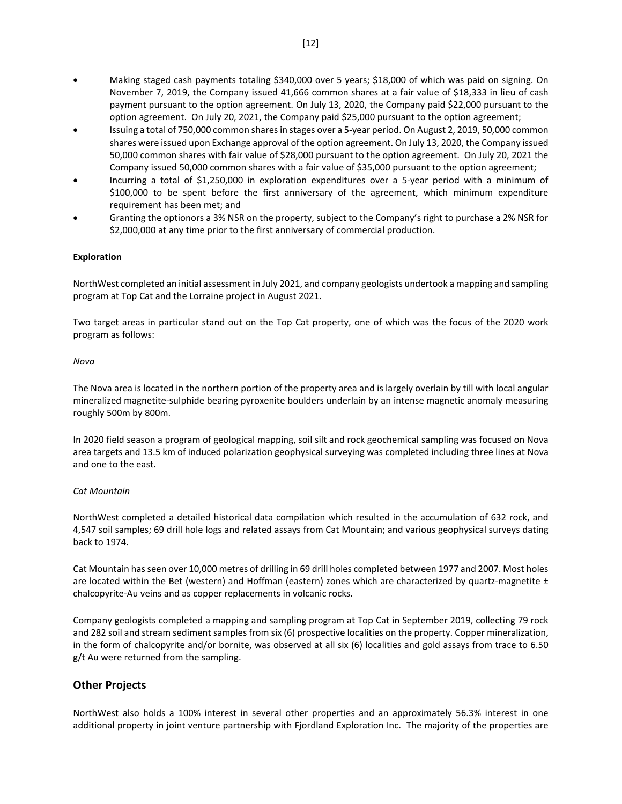- Making staged cash payments totaling \$340,000 over 5 years; \$18,000 of which was paid on signing. On November 7, 2019, the Company issued 41,666 common shares at a fair value of \$18,333 in lieu of cash payment pursuant to the option agreement. On July 13, 2020, the Company paid \$22,000 pursuant to the option agreement. On July 20, 2021, the Company paid \$25,000 pursuant to the option agreement;
- Issuing a total of 750,000 common shares in stages over a 5-year period. On August 2, 2019, 50,000 common shares were issued upon Exchange approval of the option agreement. On July 13, 2020, the Company issued 50,000 common shares with fair value of \$28,000 pursuant to the option agreement. On July 20, 2021 the Company issued 50,000 common shares with a fair value of \$35,000 pursuant to the option agreement;
- Incurring a total of \$1,250,000 in exploration expenditures over a 5-year period with a minimum of \$100,000 to be spent before the first anniversary of the agreement, which minimum expenditure requirement has been met; and
- Granting the optionors a 3% NSR on the property, subject to the Company's right to purchase a 2% NSR for \$2,000,000 at any time prior to the first anniversary of commercial production.

# **Exploration**

NorthWest completed an initial assessment in July 2021, and company geologists undertook a mapping and sampling program at Top Cat and the Lorraine project in August 2021.

Two target areas in particular stand out on the Top Cat property, one of which was the focus of the 2020 work program as follows:

### *Nova*

The Nova area is located in the northern portion of the property area and is largely overlain by till with local angular mineralized magnetite-sulphide bearing pyroxenite boulders underlain by an intense magnetic anomaly measuring roughly 500m by 800m.

In 2020 field season a program of geological mapping, soil silt and rock geochemical sampling was focused on Nova area targets and 13.5 km of induced polarization geophysical surveying was completed including three lines at Nova and one to the east.

### *Cat Mountain*

NorthWest completed a detailed historical data compilation which resulted in the accumulation of 632 rock, and 4,547 soil samples; 69 drill hole logs and related assays from Cat Mountain; and various geophysical surveys dating back to 1974.

Cat Mountain has seen over 10,000 metres of drilling in 69 drill holes completed between 1977 and 2007. Most holes are located within the Bet (western) and Hoffman (eastern) zones which are characterized by quartz-magnetite ± chalcopyrite-Au veins and as copper replacements in volcanic rocks.

Company geologists completed a mapping and sampling program at Top Cat in September 2019, collecting 79 rock and 282 soil and stream sediment samples from six (6) prospective localities on the property. Copper mineralization, in the form of chalcopyrite and/or bornite, was observed at all six (6) localities and gold assays from trace to 6.50 g/t Au were returned from the sampling.

# **Other Projects**

NorthWest also holds a 100% interest in several other properties and an approximately 56.3% interest in one additional property in joint venture partnership with Fjordland Exploration Inc. The majority of the properties are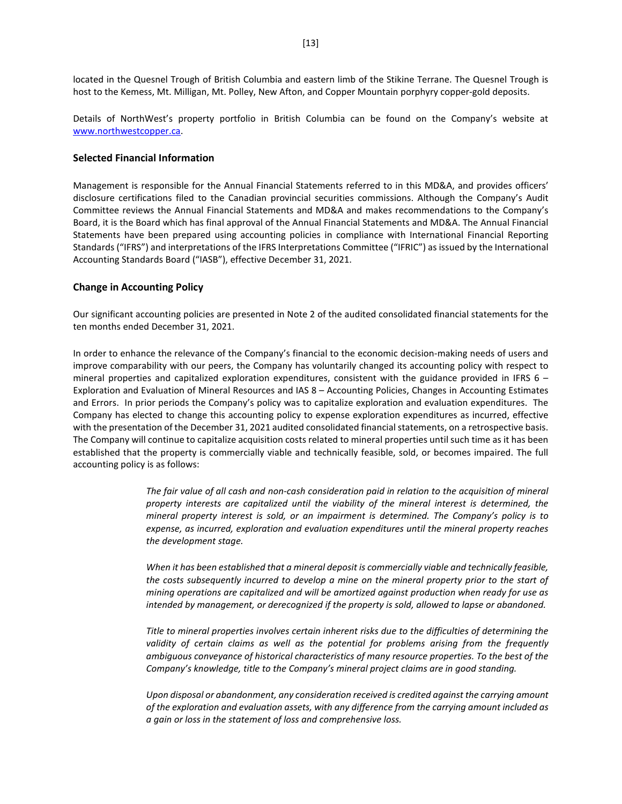located in the Quesnel Trough of British Columbia and eastern limb of the Stikine Terrane. The Quesnel Trough is host to the Kemess, Mt. Milligan, Mt. Polley, New Afton, and Copper Mountain porphyry copper-gold deposits.

Details of NorthWest's property portfolio in British Columbia can be found on the Company's website at [www.northwestcopper.ca.](http://www.northwestcopper.ca/)

#### **Selected Financial Information**

Management is responsible for the Annual Financial Statements referred to in this MD&A, and provides officers' disclosure certifications filed to the Canadian provincial securities commissions. Although the Company's Audit Committee reviews the Annual Financial Statements and MD&A and makes recommendations to the Company's Board, it is the Board which has final approval of the Annual Financial Statements and MD&A. The Annual Financial Statements have been prepared using accounting policies in compliance with International Financial Reporting Standards ("IFRS") and interpretations of the IFRS Interpretations Committee ("IFRIC") as issued by the International Accounting Standards Board ("IASB"), effective December 31, 2021.

### **Change in Accounting Policy**

Our significant accounting policies are presented in Note 2 of the audited consolidated financial statements for the ten months ended December 31, 2021.

In order to enhance the relevance of the Company's financial to the economic decision-making needs of users and improve comparability with our peers, the Company has voluntarily changed its accounting policy with respect to mineral properties and capitalized exploration expenditures, consistent with the guidance provided in IFRS 6 – Exploration and Evaluation of Mineral Resources and IAS 8 – Accounting Policies, Changes in Accounting Estimates and Errors. In prior periods the Company's policy was to capitalize exploration and evaluation expenditures. The Company has elected to change this accounting policy to expense exploration expenditures as incurred, effective with the presentation of the December 31, 2021 audited consolidated financial statements, on a retrospective basis. The Company will continue to capitalize acquisition costs related to mineral properties until such time as it has been established that the property is commercially viable and technically feasible, sold, or becomes impaired. The full accounting policy is as follows:

> *The fair value of all cash and non-cash consideration paid in relation to the acquisition of mineral property interests are capitalized until the viability of the mineral interest is determined, the mineral property interest is sold, or an impairment is determined. The Company's policy is to expense, as incurred, exploration and evaluation expenditures until the mineral property reaches the development stage.*

> *When it has been established that a mineral deposit is commercially viable and technically feasible, the costs subsequently incurred to develop a mine on the mineral property prior to the start of mining operations are capitalized and will be amortized against production when ready for use as intended by management, or derecognized if the property is sold, allowed to lapse or abandoned.*

> *Title to mineral properties involves certain inherent risks due to the difficulties of determining the*  validity of certain claims as well as the potential for problems arising from the frequently *ambiguous conveyance of historical characteristics of many resource properties. To the best of the Company's knowledge, title to the Company's mineral project claims are in good standing.*

> *Upon disposal or abandonment, any consideration received is credited against the carrying amount of the exploration and evaluation assets, with any difference from the carrying amount included as a gain or loss in the statement of loss and comprehensive loss.*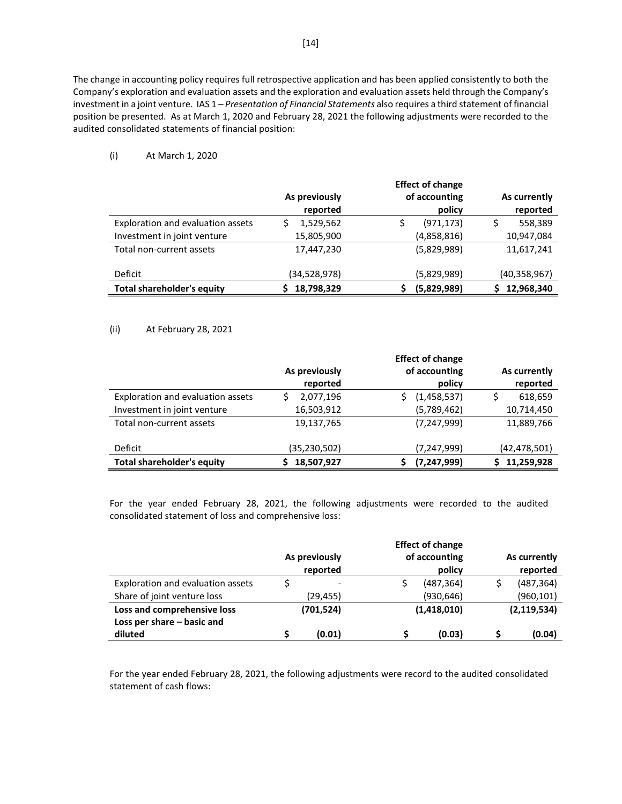The change in accounting policy requires full retrospective application and has been applied consistently to both the Company's exploration and evaluation assets and the exploration and evaluation assets held through the Company's investment in a joint venture. IAS 1 – *Presentation of Financial Statements* also requires a third statement of financial position be presented. As at March 1, 2020 and February 28, 2021 the following adjustments were recorded to the audited consolidated statements of financial position:

(i) At March 1, 2020

|                                   | As previously<br>reported | <b>Effect of change</b><br>of accounting<br>policy | As currently<br>reported |
|-----------------------------------|---------------------------|----------------------------------------------------|--------------------------|
| Exploration and evaluation assets | 1,529,562                 | (971, 173)                                         | 558,389                  |
| Investment in joint venture       | 15,805,900                | (4,858,816)                                        | 10,947,084               |
| Total non-current assets          | 17,447,230                | (5,829,989)                                        | 11,617,241               |
| Deficit                           | (34,528,978)              | (5,829,989)                                        | (40,358,967)             |
| <b>Total shareholder's equity</b> | 18,798,329                | (5,829,989)                                        | 12,968,340               |

# (ii) At February 28, 2021

|                                   |                | <b>Effect of change</b> |                |
|-----------------------------------|----------------|-------------------------|----------------|
|                                   | As previously  | of accounting           | As currently   |
|                                   | reported       | policy                  | reported       |
| Exploration and evaluation assets | 2,077,196      | (1,458,537)             | 618,659        |
| Investment in joint venture       | 16,503,912     | (5,789,462)             | 10,714,450     |
| Total non-current assets          | 19,137,765     | (7, 247, 999)           | 11,889,766     |
| Deficit                           | (35, 230, 502) | (7, 247, 999)           | (42, 478, 501) |
| <b>Total shareholder's equity</b> | 18,507,927     | (7, 247, 999)           | 11,259,928     |

For the year ended February 28, 2021, the following adjustments were recorded to the audited consolidated statement of loss and comprehensive loss:

|                                   |               | <b>Effect of change</b> |  |               |
|-----------------------------------|---------------|-------------------------|--|---------------|
|                                   | As previously | of accounting           |  | As currently  |
|                                   | reported      | policy                  |  | reported      |
| Exploration and evaluation assets |               | (487, 364)              |  | (487, 364)    |
| Share of joint venture loss       | (29, 455)     | (930, 646)              |  | (960, 101)    |
| Loss and comprehensive loss       | (701, 524)    | (1,418,010)             |  | (2, 119, 534) |
| Loss per share - basic and        |               |                         |  |               |
| diluted                           | (0.01)        | (0.03)                  |  | (0.04)        |

For the year ended February 28, 2021, the following adjustments were record to the audited consolidated statement of cash flows: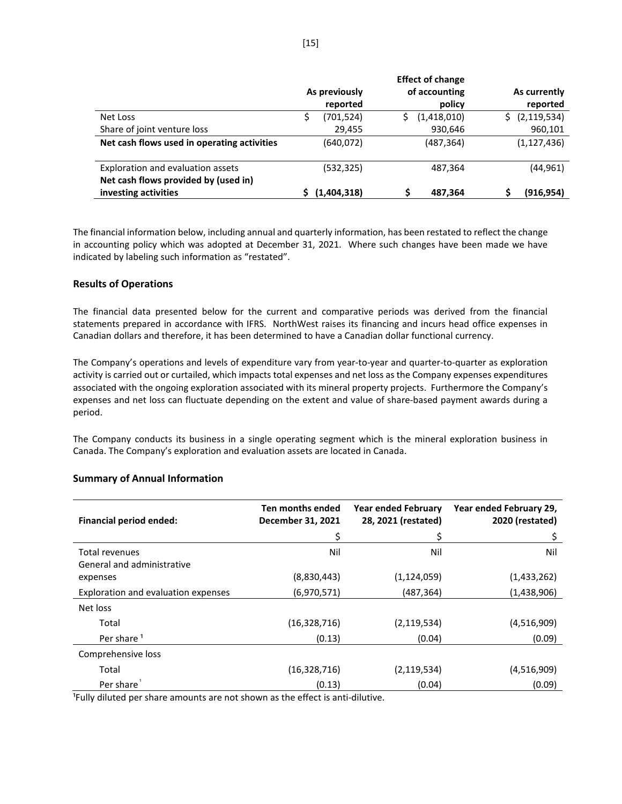|                                             |               |             |               | <b>Effect of change</b> |               |
|---------------------------------------------|---------------|-------------|---------------|-------------------------|---------------|
|                                             | As previously |             | of accounting |                         | As currently  |
|                                             |               | reported    |               | policy                  | reported      |
| Net Loss                                    | S             | (701, 524)  |               | (1,418,010)             | (2, 119, 534) |
| Share of joint venture loss                 |               | 29,455      |               | 930,646                 | 960,101       |
| Net cash flows used in operating activities |               | (640, 072)  |               | (487, 364)              | (1, 127, 436) |
|                                             |               |             |               |                         |               |
| Exploration and evaluation assets           |               | (532, 325)  |               | 487,364                 | (44, 961)     |
| Net cash flows provided by (used in)        |               |             |               |                         |               |
| investing activities                        |               | (1,404,318) |               | 487,364                 | (916, 954)    |

The financial information below, including annual and quarterly information, has been restated to reflect the change in accounting policy which was adopted at December 31, 2021. Where such changes have been made we have indicated by labeling such information as "restated".

### **Results of Operations**

The financial data presented below for the current and comparative periods was derived from the financial statements prepared in accordance with IFRS. NorthWest raises its financing and incurs head office expenses in Canadian dollars and therefore, it has been determined to have a Canadian dollar functional currency.

The Company's operations and levels of expenditure vary from year-to-year and quarter-to-quarter as exploration activity is carried out or curtailed, which impacts total expenses and net loss as the Company expenses expenditures associated with the ongoing exploration associated with its mineral property projects. Furthermore the Company's expenses and net loss can fluctuate depending on the extent and value of share-based payment awards during a period.

The Company conducts its business in a single operating segment which is the mineral exploration business in Canada. The Company's exploration and evaluation assets are located in Canada.

| <b>Financial period ended:</b>      | Ten months ended<br>December 31, 2021 | <b>Year ended February</b><br>28, 2021 (restated) | Year ended February 29,<br>2020 (restated) |  |
|-------------------------------------|---------------------------------------|---------------------------------------------------|--------------------------------------------|--|
|                                     | \$                                    | Ś                                                 | Ś                                          |  |
| <b>Total revenues</b>               | Nil                                   | Nil                                               | Nil                                        |  |
| General and administrative          |                                       |                                                   |                                            |  |
| expenses                            | (8,830,443)                           | (1, 124, 059)                                     | (1,433,262)                                |  |
| Exploration and evaluation expenses | (6,970,571)                           | (487, 364)                                        | (1,438,906)                                |  |
| Net loss                            |                                       |                                                   |                                            |  |
| Total                               | (16, 328, 716)                        | (2, 119, 534)                                     | (4,516,909)                                |  |
| Per share <sup>1</sup>              | (0.13)                                | (0.04)                                            | (0.09)                                     |  |
| Comprehensive loss                  |                                       |                                                   |                                            |  |
| Total                               | (16,328,716)                          | (2, 119, 534)                                     | (4,516,909)                                |  |
| Per share                           | (0.13)                                | (0.04)                                            | (0.09)                                     |  |

### **Summary of Annual Information**

<sup>1</sup>Fully diluted per share amounts are not shown as the effect is anti-dilutive.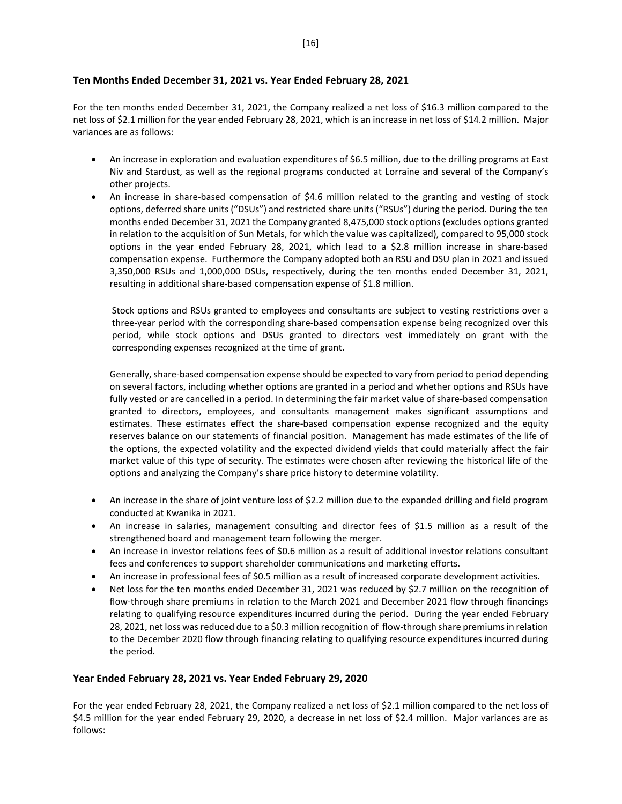# **Ten Months Ended December 31, 2021 vs. Year Ended February 28, 2021**

For the ten months ended December 31, 2021, the Company realized a net loss of \$16.3 million compared to the net loss of \$2.1 million for the year ended February 28, 2021, which is an increase in net loss of \$14.2 million. Major variances are as follows:

- An increase in exploration and evaluation expenditures of \$6.5 million, due to the drilling programs at East Niv and Stardust, as well as the regional programs conducted at Lorraine and several of the Company's other projects.
- An increase in share-based compensation of \$4.6 million related to the granting and vesting of stock options, deferred share units ("DSUs") and restricted share units ("RSUs") during the period. During the ten months ended December 31, 2021 the Company granted 8,475,000 stock options(excludes options granted in relation to the acquisition of Sun Metals, for which the value was capitalized), compared to 95,000 stock options in the year ended February 28, 2021, which lead to a \$2.8 million increase in share-based compensation expense. Furthermore the Company adopted both an RSU and DSU plan in 2021 and issued 3,350,000 RSUs and 1,000,000 DSUs, respectively, during the ten months ended December 31, 2021, resulting in additional share-based compensation expense of \$1.8 million.

Stock options and RSUs granted to employees and consultants are subject to vesting restrictions over a three-year period with the corresponding share-based compensation expense being recognized over this period, while stock options and DSUs granted to directors vest immediately on grant with the corresponding expenses recognized at the time of grant.

Generally, share-based compensation expense should be expected to vary from period to period depending on several factors, including whether options are granted in a period and whether options and RSUs have fully vested or are cancelled in a period. In determining the fair market value of share-based compensation granted to directors, employees, and consultants management makes significant assumptions and estimates. These estimates effect the share-based compensation expense recognized and the equity reserves balance on our statements of financial position. Management has made estimates of the life of the options, the expected volatility and the expected dividend yields that could materially affect the fair market value of this type of security. The estimates were chosen after reviewing the historical life of the options and analyzing the Company's share price history to determine volatility.

- An increase in the share of joint venture loss of \$2.2 million due to the expanded drilling and field program conducted at Kwanika in 2021.
- An increase in salaries, management consulting and director fees of \$1.5 million as a result of the strengthened board and management team following the merger.
- An increase in investor relations fees of \$0.6 million as a result of additional investor relations consultant fees and conferences to support shareholder communications and marketing efforts.
- An increase in professional fees of \$0.5 million as a result of increased corporate development activities.
- Net loss for the ten months ended December 31, 2021 was reduced by \$2.7 million on the recognition of flow-through share premiums in relation to the March 2021 and December 2021 flow through financings relating to qualifying resource expenditures incurred during the period. During the year ended February 28, 2021, net loss was reduced due to a \$0.3 million recognition of flow-through share premiums in relation to the December 2020 flow through financing relating to qualifying resource expenditures incurred during the period.

# **Year Ended February 28, 2021 vs. Year Ended February 29, 2020**

For the year ended February 28, 2021, the Company realized a net loss of \$2.1 million compared to the net loss of \$4.5 million for the year ended February 29, 2020, a decrease in net loss of \$2.4 million. Major variances are as follows: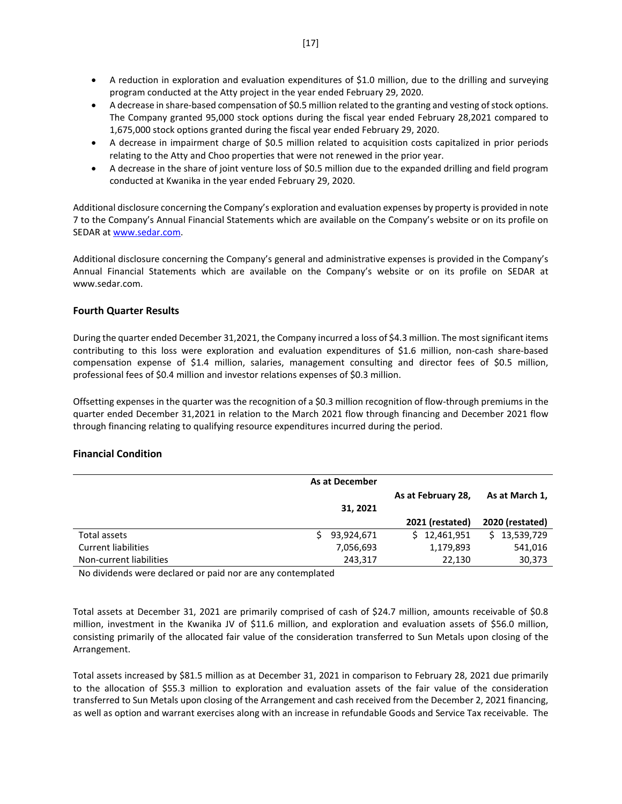- A reduction in exploration and evaluation expenditures of \$1.0 million, due to the drilling and surveying program conducted at the Atty project in the year ended February 29, 2020.
- A decrease in share-based compensation of \$0.5 million related to the granting and vesting of stock options. The Company granted 95,000 stock options during the fiscal year ended February 28,2021 compared to 1,675,000 stock options granted during the fiscal year ended February 29, 2020.
- A decrease in impairment charge of \$0.5 million related to acquisition costs capitalized in prior periods relating to the Atty and Choo properties that were not renewed in the prior year.
- A decrease in the share of joint venture loss of \$0.5 million due to the expanded drilling and field program conducted at Kwanika in the year ended February 29, 2020.

Additional disclosure concerning the Company's exploration and evaluation expenses by property is provided in note 7 to the Company's Annual Financial Statements which are available on the Company's website or on its profile on SEDAR a[t www.sedar.com.](http://www.sedar.com/)

Additional disclosure concerning the Company's general and administrative expenses is provided in the Company's Annual Financial Statements which are available on the Company's website or on its profile on SEDAR at www.sedar.com.

# **Fourth Quarter Results**

During the quarter ended December 31,2021, the Company incurred a loss of \$4.3 million. The most significant items contributing to this loss were exploration and evaluation expenditures of \$1.6 million, non-cash share-based compensation expense of \$1.4 million, salaries, management consulting and director fees of \$0.5 million, professional fees of \$0.4 million and investor relations expenses of \$0.3 million.

Offsetting expenses in the quarter was the recognition of a \$0.3 million recognition of flow-through premiums in the quarter ended December 31,2021 in relation to the March 2021 flow through financing and December 2021 flow through financing relating to qualifying resource expenditures incurred during the period.

# **Financial Condition**

|                            | <b>As at December</b> |                    |                 |
|----------------------------|-----------------------|--------------------|-----------------|
|                            | 31, 2021              | As at February 28, | As at March 1,  |
|                            |                       | 2021 (restated)    | 2020 (restated) |
| Total assets               | 93,924,671            | \$12,461,951       | \$13,539,729    |
| <b>Current liabilities</b> | 7,056,693             | 1,179,893          | 541,016         |
| Non-current liabilities    | 243,317               | 22,130             | 30,373          |

No dividends were declared or paid nor are any contemplated

Total assets at December 31, 2021 are primarily comprised of cash of \$24.7 million, amounts receivable of \$0.8 million, investment in the Kwanika JV of \$11.6 million, and exploration and evaluation assets of \$56.0 million, consisting primarily of the allocated fair value of the consideration transferred to Sun Metals upon closing of the Arrangement.

Total assets increased by \$81.5 million as at December 31, 2021 in comparison to February 28, 2021 due primarily to the allocation of \$55.3 million to exploration and evaluation assets of the fair value of the consideration transferred to Sun Metals upon closing of the Arrangement and cash received from the December 2, 2021 financing, as well as option and warrant exercises along with an increase in refundable Goods and Service Tax receivable. The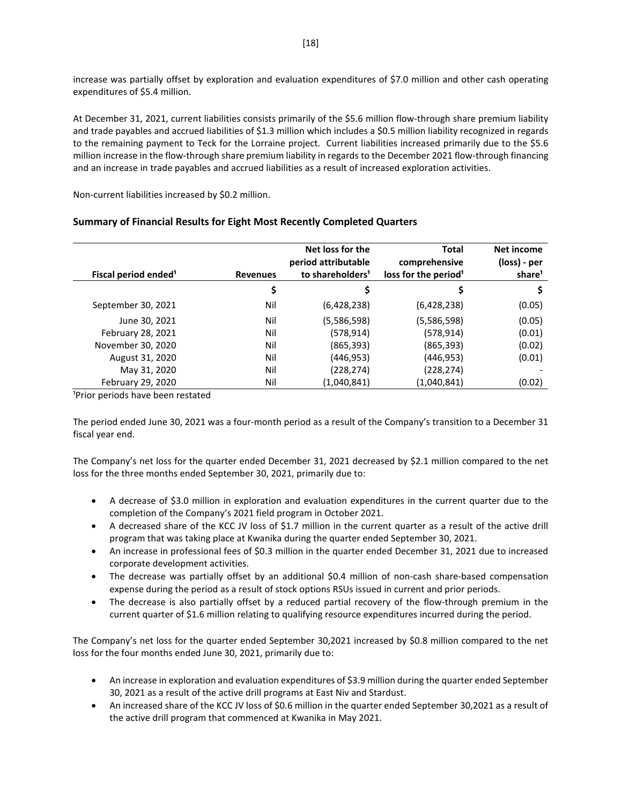increase was partially offset by exploration and evaluation expenditures of \$7.0 million and other cash operating expenditures of \$5.4 million.

At December 31, 2021, current liabilities consists primarily of the \$5.6 million flow-through share premium liability and trade payables and accrued liabilities of \$1.3 million which includes a \$0.5 million liability recognized in regards to the remaining payment to Teck for the Lorraine project. Current liabilities increased primarily due to the \$5.6 million increase in the flow-through share premium liability in regards to the December 2021 flow-through financing and an increase in trade payables and accrued liabilities as a result of increased exploration activities.

Non-current liabilities increased by \$0.2 million.

| Fiscal period ended <sup>1</sup> | <b>Revenues</b> | Net loss for the<br>period attributable<br>to shareholders <sup>1</sup> | Total<br>comprehensive<br>loss for the period <sup>1</sup> | Net income<br>(loss) - per<br>share <sup>1</sup> |
|----------------------------------|-----------------|-------------------------------------------------------------------------|------------------------------------------------------------|--------------------------------------------------|
|                                  | \$              | \$                                                                      | \$                                                         |                                                  |
| September 30, 2021               | Nil             | (6,428,238)                                                             | (6,428,238)                                                | (0.05)                                           |
| June 30, 2021                    | Nil             | (5,586,598)                                                             | (5,586,598)                                                | (0.05)                                           |
| February 28, 2021                | Nil             | (578, 914)                                                              | (578, 914)                                                 | (0.01)                                           |
| November 30, 2020                | Nil             | (865, 393)                                                              | (865, 393)                                                 | (0.02)                                           |
| August 31, 2020                  | Nil             | (446,953)                                                               | (446, 953)                                                 | (0.01)                                           |
| May 31, 2020                     | Nil             | (228, 274)                                                              | (228, 274)                                                 |                                                  |
| February 29, 2020                | Nil             | (1,040,841)                                                             | (1,040,841)                                                | (0.02)                                           |

# **Summary of Financial Results for Eight Most Recently Completed Quarters**

<sup>1</sup>Prior periods have been restated

The period ended June 30, 2021 was a four-month period as a result of the Company's transition to a December 31 fiscal year end.

The Company's net loss for the quarter ended December 31, 2021 decreased by \$2.1 million compared to the net loss for the three months ended September 30, 2021, primarily due to:

- A decrease of \$3.0 million in exploration and evaluation expenditures in the current quarter due to the completion of the Company's 2021 field program in October 2021.
- A decreased share of the KCC JV loss of \$1.7 million in the current quarter as a result of the active drill program that was taking place at Kwanika during the quarter ended September 30, 2021.
- An increase in professional fees of \$0.3 million in the quarter ended December 31, 2021 due to increased corporate development activities.
- The decrease was partially offset by an additional \$0.4 million of non-cash share-based compensation expense during the period as a result of stock options RSUs issued in current and prior periods.
- The decrease is also partially offset by a reduced partial recovery of the flow-through premium in the current quarter of \$1.6 million relating to qualifying resource expenditures incurred during the period.

The Company's net loss for the quarter ended September 30,2021 increased by \$0.8 million compared to the net loss for the four months ended June 30, 2021, primarily due to:

- An increase in exploration and evaluation expenditures of \$3.9 million during the quarter ended September 30, 2021 as a result of the active drill programs at East Niv and Stardust.
- An increased share of the KCC JV loss of \$0.6 million in the quarter ended September 30,2021 as a result of the active drill program that commenced at Kwanika in May 2021.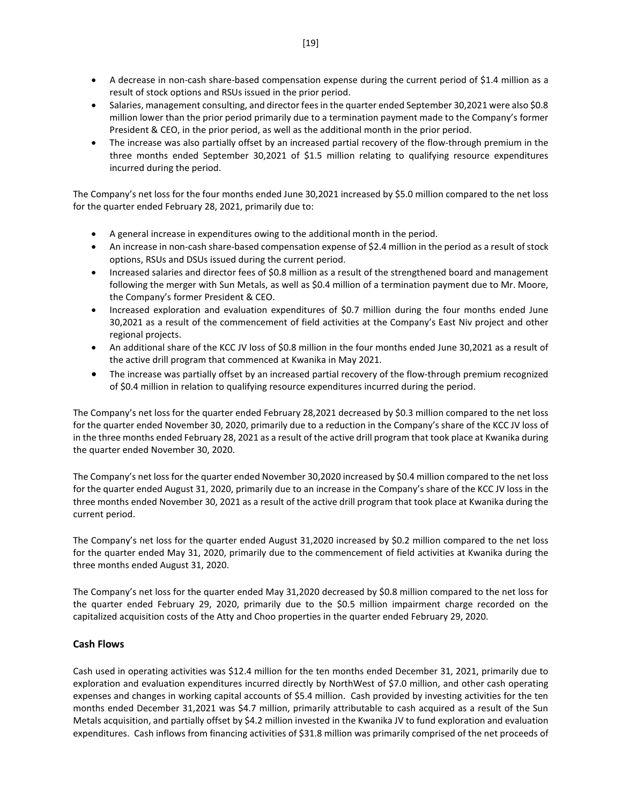- A decrease in non-cash share-based compensation expense during the current period of \$1.4 million as a result of stock options and RSUs issued in the prior period.
- Salaries, management consulting, and director fees in the quarter ended September 30,2021 were also \$0.8 million lower than the prior period primarily due to a termination payment made to the Company's former President & CEO, in the prior period, as well as the additional month in the prior period.
- The increase was also partially offset by an increased partial recovery of the flow-through premium in the three months ended September 30,2021 of \$1.5 million relating to qualifying resource expenditures incurred during the period.

The Company's net loss for the four months ended June 30,2021 increased by \$5.0 million compared to the net loss for the quarter ended February 28, 2021, primarily due to:

- A general increase in expenditures owing to the additional month in the period.
- An increase in non-cash share-based compensation expense of \$2.4 million in the period as a result of stock options, RSUs and DSUs issued during the current period.
- Increased salaries and director fees of \$0.8 million as a result of the strengthened board and management following the merger with Sun Metals, as well as \$0.4 million of a termination payment due to Mr. Moore, the Company's former President & CEO.
- Increased exploration and evaluation expenditures of \$0.7 million during the four months ended June 30,2021 as a result of the commencement of field activities at the Company's East Niv project and other regional projects.
- An additional share of the KCC JV loss of \$0.8 million in the four months ended June 30,2021 as a result of the active drill program that commenced at Kwanika in May 2021.
- The increase was partially offset by an increased partial recovery of the flow-through premium recognized of \$0.4 million in relation to qualifying resource expenditures incurred during the period.

The Company's net loss for the quarter ended February 28,2021 decreased by \$0.3 million compared to the net loss for the quarter ended November 30, 2020, primarily due to a reduction in the Company's share of the KCC JV loss of in the three months ended February 28, 2021 as a result of the active drill program that took place at Kwanika during the quarter ended November 30, 2020.

The Company's net loss for the quarter ended November 30,2020 increased by \$0.4 million compared to the net loss for the quarter ended August 31, 2020, primarily due to an increase in the Company's share of the KCC JV loss in the three months ended November 30, 2021 as a result of the active drill program that took place at Kwanika during the current period.

The Company's net loss for the quarter ended August 31,2020 increased by \$0.2 million compared to the net loss for the quarter ended May 31, 2020, primarily due to the commencement of field activities at Kwanika during the three months ended August 31, 2020.

The Company's net loss for the quarter ended May 31,2020 decreased by \$0.8 million compared to the net loss for the quarter ended February 29, 2020, primarily due to the \$0.5 million impairment charge recorded on the capitalized acquisition costs of the Atty and Choo properties in the quarter ended February 29, 2020.

# **Cash Flows**

Cash used in operating activities was \$12.4 million for the ten months ended December 31, 2021, primarily due to exploration and evaluation expenditures incurred directly by NorthWest of \$7.0 million, and other cash operating expenses and changes in working capital accounts of \$5.4 million. Cash provided by investing activities for the ten months ended December 31,2021 was \$4.7 million, primarily attributable to cash acquired as a result of the Sun Metals acquisition, and partially offset by \$4.2 million invested in the Kwanika JV to fund exploration and evaluation expenditures. Cash inflows from financing activities of \$31.8 million was primarily comprised of the net proceeds of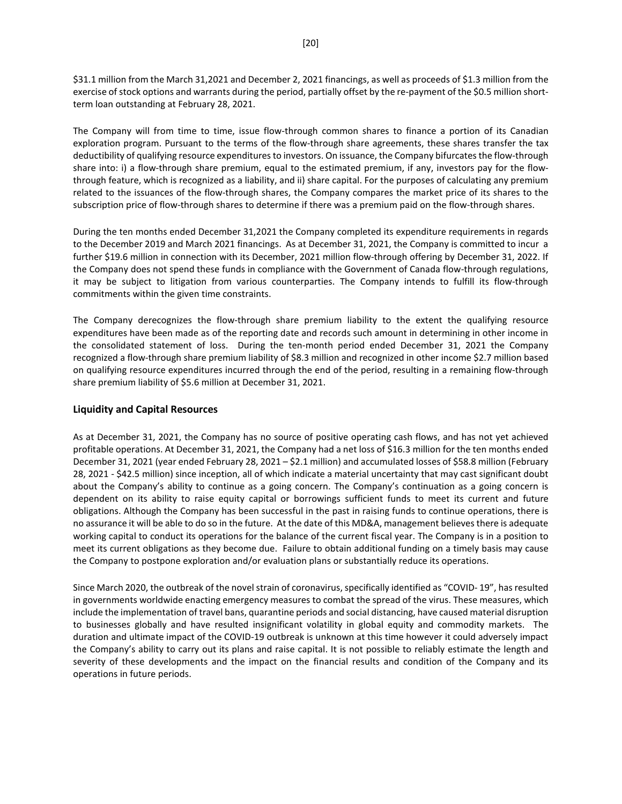\$31.1 million from the March 31,2021 and December 2, 2021 financings, as well as proceeds of \$1.3 million from the exercise of stock options and warrants during the period, partially offset by the re-payment of the \$0.5 million shortterm loan outstanding at February 28, 2021.

The Company will from time to time, issue flow-through common shares to finance a portion of its Canadian exploration program. Pursuant to the terms of the flow-through share agreements, these shares transfer the tax deductibility of qualifying resource expenditures to investors. On issuance, the Company bifurcates the flow-through share into: i) a flow-through share premium, equal to the estimated premium, if any, investors pay for the flowthrough feature, which is recognized as a liability, and ii) share capital. For the purposes of calculating any premium related to the issuances of the flow-through shares, the Company compares the market price of its shares to the subscription price of flow-through shares to determine if there was a premium paid on the flow-through shares.

During the ten months ended December 31,2021 the Company completed its expenditure requirements in regards to the December 2019 and March 2021 financings. As at December 31, 2021, the Company is committed to incur a further \$19.6 million in connection with its December, 2021 million flow-through offering by December 31, 2022. If the Company does not spend these funds in compliance with the Government of Canada flow-through regulations, it may be subject to litigation from various counterparties. The Company intends to fulfill its flow-through commitments within the given time constraints.

The Company derecognizes the flow-through share premium liability to the extent the qualifying resource expenditures have been made as of the reporting date and records such amount in determining in other income in the consolidated statement of loss. During the ten-month period ended December 31, 2021 the Company recognized a flow-through share premium liability of \$8.3 million and recognized in other income \$2.7 million based on qualifying resource expenditures incurred through the end of the period, resulting in a remaining flow-through share premium liability of \$5.6 million at December 31, 2021.

# **Liquidity and Capital Resources**

As at December 31, 2021, the Company has no source of positive operating cash flows, and has not yet achieved profitable operations. At December 31, 2021, the Company had a net loss of \$16.3 million for the ten months ended December 31, 2021 (year ended February 28, 2021 – \$2.1 million) and accumulated losses of \$58.8 million (February 28, 2021 - \$42.5 million) since inception, all of which indicate a material uncertainty that may cast significant doubt about the Company's ability to continue as a going concern. The Company's continuation as a going concern is dependent on its ability to raise equity capital or borrowings sufficient funds to meet its current and future obligations. Although the Company has been successful in the past in raising funds to continue operations, there is no assurance it will be able to do so in the future. At the date of this MD&A, management believes there is adequate working capital to conduct its operations for the balance of the current fiscal year. The Company is in a position to meet its current obligations as they become due. Failure to obtain additional funding on a timely basis may cause the Company to postpone exploration and/or evaluation plans or substantially reduce its operations.

Since March 2020, the outbreak of the novel strain of coronavirus, specifically identified as "COVID- 19", has resulted in governments worldwide enacting emergency measures to combat the spread of the virus. These measures, which include the implementation of travel bans, quarantine periods and social distancing, have caused material disruption to businesses globally and have resulted insignificant volatility in global equity and commodity markets. The duration and ultimate impact of the COVID-19 outbreak is unknown at this time however it could adversely impact the Company's ability to carry out its plans and raise capital. It is not possible to reliably estimate the length and severity of these developments and the impact on the financial results and condition of the Company and its operations in future periods.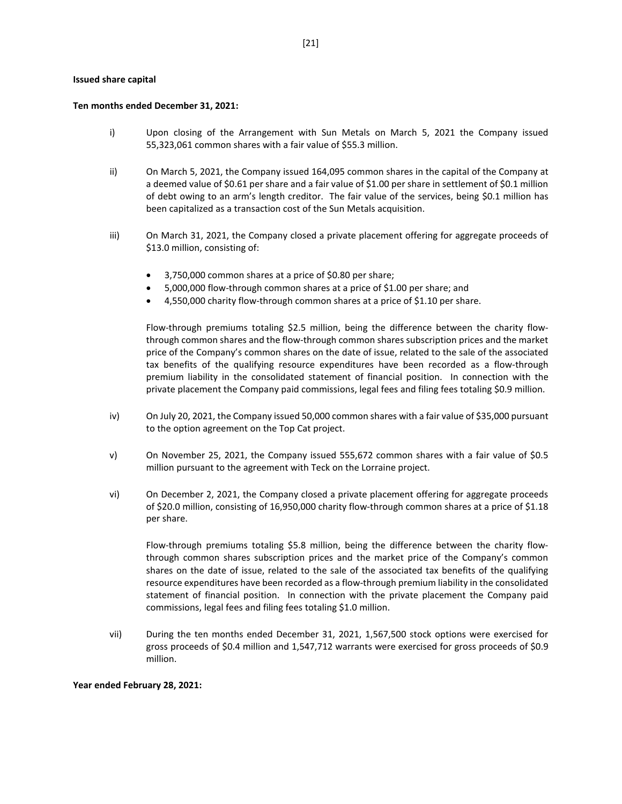#### **Issued share capital**

#### **Ten months ended December 31, 2021:**

- i) Upon closing of the Arrangement with Sun Metals on March 5, 2021 the Company issued 55,323,061 common shares with a fair value of \$55.3 million.
- ii) On March 5, 2021, the Company issued 164,095 common shares in the capital of the Company at a deemed value of \$0.61 per share and a fair value of \$1.00 per share in settlement of \$0.1 million of debt owing to an arm's length creditor. The fair value of the services, being \$0.1 million has been capitalized as a transaction cost of the Sun Metals acquisition.
- iii) On March 31, 2021, the Company closed a private placement offering for aggregate proceeds of \$13.0 million, consisting of:
	- 3,750,000 common shares at a price of \$0.80 per share;
	- 5,000,000 flow-through common shares at a price of \$1.00 per share; and
	- 4,550,000 charity flow-through common shares at a price of \$1.10 per share.

Flow-through premiums totaling \$2.5 million, being the difference between the charity flowthrough common shares and the flow-through common shares subscription prices and the market price of the Company's common shares on the date of issue, related to the sale of the associated tax benefits of the qualifying resource expenditures have been recorded as a flow-through premium liability in the consolidated statement of financial position. In connection with the private placement the Company paid commissions, legal fees and filing fees totaling \$0.9 million.

- iv) On July 20, 2021, the Company issued 50,000 common shares with a fair value of \$35,000 pursuant to the option agreement on the Top Cat project.
- v) On November 25, 2021, the Company issued 555,672 common shares with a fair value of \$0.5 million pursuant to the agreement with Teck on the Lorraine project.
- vi) On December 2, 2021, the Company closed a private placement offering for aggregate proceeds of \$20.0 million, consisting of 16,950,000 charity flow-through common shares at a price of \$1.18 per share.

Flow-through premiums totaling \$5.8 million, being the difference between the charity flowthrough common shares subscription prices and the market price of the Company's common shares on the date of issue, related to the sale of the associated tax benefits of the qualifying resource expenditures have been recorded as a flow-through premium liability in the consolidated statement of financial position. In connection with the private placement the Company paid commissions, legal fees and filing fees totaling \$1.0 million.

vii) During the ten months ended December 31, 2021, 1,567,500 stock options were exercised for gross proceeds of \$0.4 million and 1,547,712 warrants were exercised for gross proceeds of \$0.9 million.

**Year ended February 28, 2021:**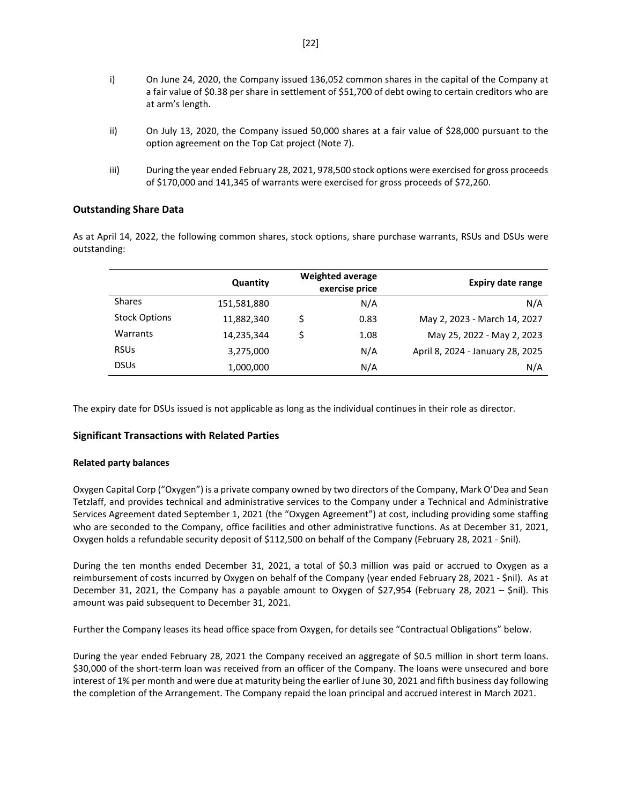- i) On June 24, 2020, the Company issued 136,052 common shares in the capital of the Company at a fair value of \$0.38 per share in settlement of \$51,700 of debt owing to certain creditors who are at arm's length.
- ii) On July 13, 2020, the Company issued 50,000 shares at a fair value of \$28,000 pursuant to the option agreement on the Top Cat project (Note 7).
- iii) During the year ended February 28, 2021, 978,500 stock options were exercised for gross proceeds of \$170,000 and 141,345 of warrants were exercised for gross proceeds of \$72,260.

# **Outstanding Share Data**

As at April 14, 2022, the following common shares, stock options, share purchase warrants, RSUs and DSUs were outstanding:

|                      | Quantity    | <b>Weighted average</b><br>exercise price |      | <b>Expiry date range</b>         |
|----------------------|-------------|-------------------------------------------|------|----------------------------------|
| <b>Shares</b>        | 151,581,880 |                                           | N/A  | N/A                              |
| <b>Stock Options</b> | 11,882,340  | Ś                                         | 0.83 | May 2, 2023 - March 14, 2027     |
| Warrants             | 14,235,344  |                                           | 1.08 | May 25, 2022 - May 2, 2023       |
| <b>RSUs</b>          | 3,275,000   |                                           | N/A  | April 8, 2024 - January 28, 2025 |
| <b>DSUs</b>          | 1,000,000   |                                           | N/A  | N/A                              |

The expiry date for DSUs issued is not applicable as long as the individual continues in their role as director.

### **Significant Transactions with Related Parties**

#### **Related party balances**

Oxygen Capital Corp ("Oxygen") is a private company owned by two directors of the Company, Mark O'Dea and Sean Tetzlaff, and provides technical and administrative services to the Company under a Technical and Administrative Services Agreement dated September 1, 2021 (the "Oxygen Agreement") at cost, including providing some staffing who are seconded to the Company, office facilities and other administrative functions. As at December 31, 2021, Oxygen holds a refundable security deposit of \$112,500 on behalf of the Company (February 28, 2021 - \$nil).

During the ten months ended December 31, 2021, a total of \$0.3 million was paid or accrued to Oxygen as a reimbursement of costs incurred by Oxygen on behalf of the Company (year ended February 28, 2021 - \$nil). As at December 31, 2021, the Company has a payable amount to Oxygen of \$27,954 (February 28, 2021 – \$nil). This amount was paid subsequent to December 31, 2021.

Further the Company leases its head office space from Oxygen, for details see "Contractual Obligations" below.

During the year ended February 28, 2021 the Company received an aggregate of \$0.5 million in short term loans. \$30,000 of the short-term loan was received from an officer of the Company. The loans were unsecured and bore interest of 1% per month and were due at maturity being the earlier of June 30, 2021 and fifth business day following the completion of the Arrangement. The Company repaid the loan principal and accrued interest in March 2021.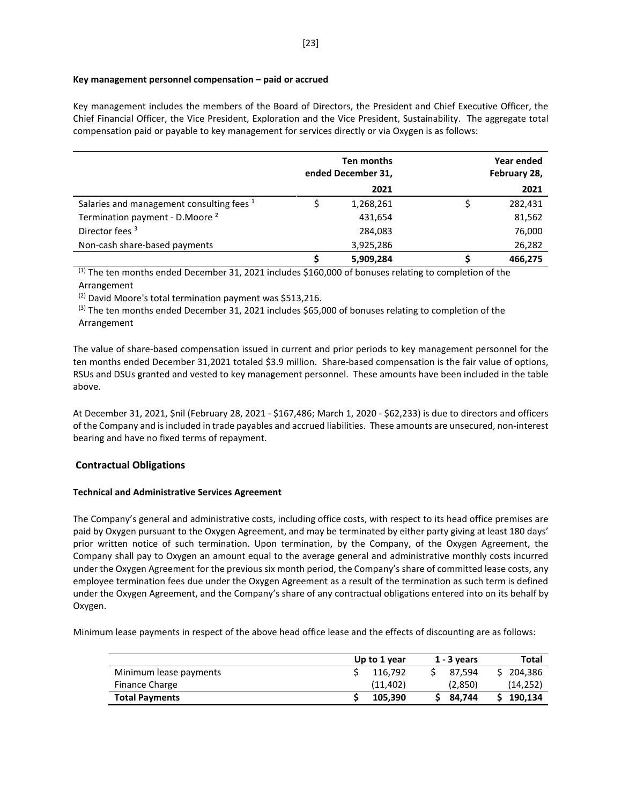### **Key management personnel compensation – paid or accrued**

Key management includes the members of the Board of Directors, the President and Chief Executive Officer, the Chief Financial Officer, the Vice President, Exploration and the Vice President, Sustainability. The aggregate total compensation paid or payable to key management for services directly or via Oxygen is as follows:

|                                            | Ten months<br>ended December 31, |           | Year ended<br>February 28, |         |
|--------------------------------------------|----------------------------------|-----------|----------------------------|---------|
|                                            |                                  | 2021      |                            | 2021    |
| Salaries and management consulting fees 1  |                                  | 1,268,261 |                            | 282,431 |
| Termination payment - D.Moore <sup>2</sup> |                                  | 431,654   |                            | 81,562  |
| Director fees <sup>3</sup>                 |                                  | 284,083   |                            | 76,000  |
| Non-cash share-based payments              |                                  | 3,925,286 |                            | 26,282  |
|                                            |                                  | 5,909,284 |                            | 466.275 |

(1) The ten months ended December 31, 2021 includes \$160,000 of bonuses relating to completion of the Arrangement

(2) David Moore's total termination payment was \$513,216.

 $<sup>(3)</sup>$  The ten months ended December 31, 2021 includes \$65,000 of bonuses relating to completion of the</sup> Arrangement

The value of share-based compensation issued in current and prior periods to key management personnel for the ten months ended December 31,2021 totaled \$3.9 million. Share-based compensation is the fair value of options, RSUs and DSUs granted and vested to key management personnel. These amounts have been included in the table above.

At December 31, 2021, \$nil (February 28, 2021 - \$167,486; March 1, 2020 - \$62,233) is due to directors and officers of the Company and is included in trade payables and accrued liabilities. These amounts are unsecured, non-interest bearing and have no fixed terms of repayment.

# **Contractual Obligations**

# **Technical and Administrative Services Agreement**

The Company's general and administrative costs, including office costs, with respect to its head office premises are paid by Oxygen pursuant to the Oxygen Agreement, and may be terminated by either party giving at least 180 days' prior written notice of such termination. Upon termination, by the Company, of the Oxygen Agreement, the Company shall pay to Oxygen an amount equal to the average general and administrative monthly costs incurred under the Oxygen Agreement for the previous six month period, the Company's share of committed lease costs, any employee termination fees due under the Oxygen Agreement as a result of the termination as such term is defined under the Oxygen Agreement, and the Company's share of any contractual obligations entered into on its behalf by Oxygen.

Minimum lease payments in respect of the above head office lease and the effects of discounting are as follows:

|                        | Up to 1 year | $1 - 3$ years | Total     |
|------------------------|--------------|---------------|-----------|
| Minimum lease payments | 116.792      | 87.594        | 204.386   |
| Finance Charge         | (11.402)     | (2,850)       | (14, 252) |
| <b>Total Payments</b>  | 105.390      | 84.744        | 190.134   |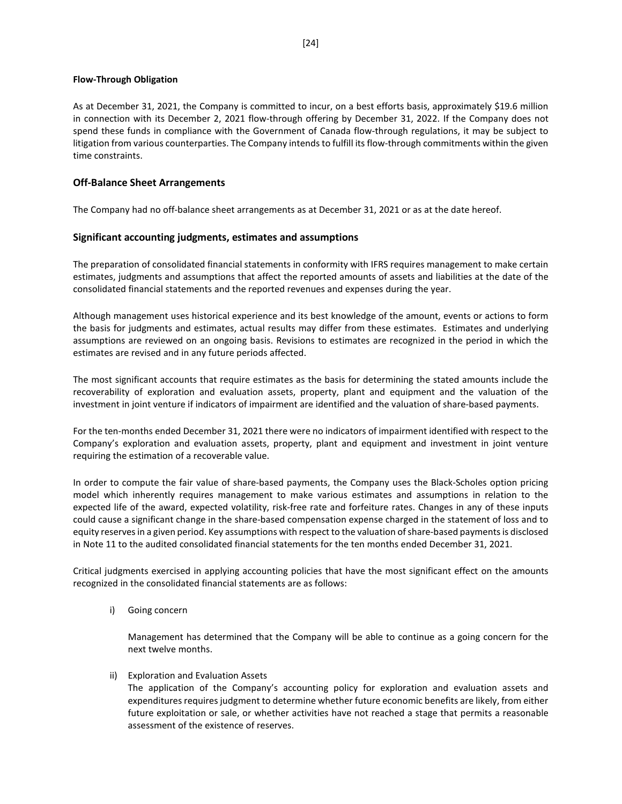### **Flow-Through Obligation**

As at December 31, 2021, the Company is committed to incur, on a best efforts basis, approximately \$19.6 million in connection with its December 2, 2021 flow-through offering by December 31, 2022. If the Company does not spend these funds in compliance with the Government of Canada flow-through regulations, it may be subject to litigation from various counterparties. The Company intends to fulfill its flow-through commitments within the given time constraints.

# **Off-Balance Sheet Arrangements**

The Company had no off-balance sheet arrangements as at December 31, 2021 or as at the date hereof.

# **Significant accounting judgments, estimates and assumptions**

The preparation of consolidated financial statements in conformity with IFRS requires management to make certain estimates, judgments and assumptions that affect the reported amounts of assets and liabilities at the date of the consolidated financial statements and the reported revenues and expenses during the year.

Although management uses historical experience and its best knowledge of the amount, events or actions to form the basis for judgments and estimates, actual results may differ from these estimates. Estimates and underlying assumptions are reviewed on an ongoing basis. Revisions to estimates are recognized in the period in which the estimates are revised and in any future periods affected.

The most significant accounts that require estimates as the basis for determining the stated amounts include the recoverability of exploration and evaluation assets, property, plant and equipment and the valuation of the investment in joint venture if indicators of impairment are identified and the valuation of share-based payments.

For the ten-months ended December 31, 2021 there were no indicators of impairment identified with respect to the Company's exploration and evaluation assets, property, plant and equipment and investment in joint venture requiring the estimation of a recoverable value.

In order to compute the fair value of share-based payments, the Company uses the Black-Scholes option pricing model which inherently requires management to make various estimates and assumptions in relation to the expected life of the award, expected volatility, risk-free rate and forfeiture rates. Changes in any of these inputs could cause a significant change in the share-based compensation expense charged in the statement of loss and to equity reserves in a given period. Key assumptions with respect to the valuation of share-based payments is disclosed in Note 11 to the audited consolidated financial statements for the ten months ended December 31, 2021.

Critical judgments exercised in applying accounting policies that have the most significant effect on the amounts recognized in the consolidated financial statements are as follows:

i) Going concern

Management has determined that the Company will be able to continue as a going concern for the next twelve months.

ii) Exploration and Evaluation Assets

The application of the Company's accounting policy for exploration and evaluation assets and expenditures requires judgment to determine whether future economic benefits are likely, from either future exploitation or sale, or whether activities have not reached a stage that permits a reasonable assessment of the existence of reserves.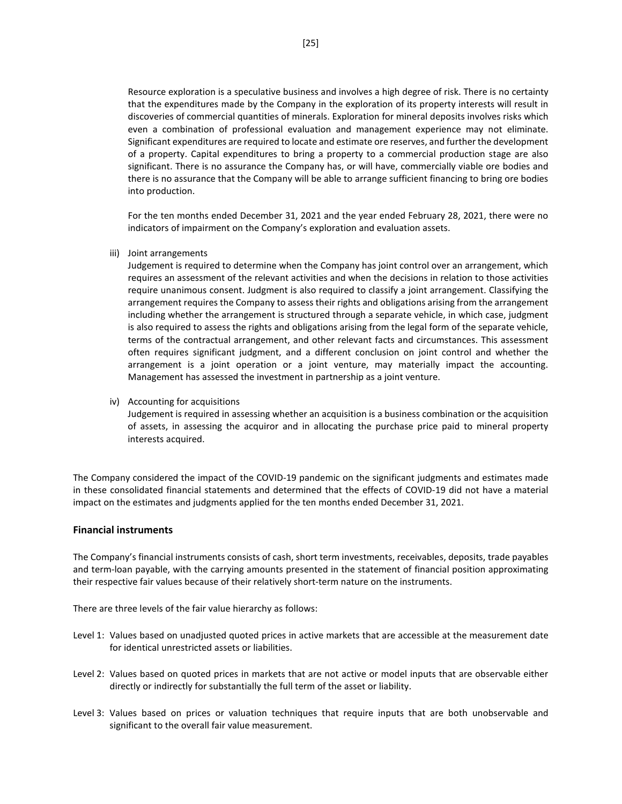Resource exploration is a speculative business and involves a high degree of risk. There is no certainty that the expenditures made by the Company in the exploration of its property interests will result in discoveries of commercial quantities of minerals. Exploration for mineral deposits involves risks which even a combination of professional evaluation and management experience may not eliminate. Significant expenditures are required to locate and estimate ore reserves, and further the development of a property. Capital expenditures to bring a property to a commercial production stage are also significant. There is no assurance the Company has, or will have, commercially viable ore bodies and there is no assurance that the Company will be able to arrange sufficient financing to bring ore bodies into production.

For the ten months ended December 31, 2021 and the year ended February 28, 2021, there were no indicators of impairment on the Company's exploration and evaluation assets.

iii) Joint arrangements

Judgement is required to determine when the Company has joint control over an arrangement, which requires an assessment of the relevant activities and when the decisions in relation to those activities require unanimous consent. Judgment is also required to classify a joint arrangement. Classifying the arrangement requires the Company to assess their rights and obligations arising from the arrangement including whether the arrangement is structured through a separate vehicle, in which case, judgment is also required to assess the rights and obligations arising from the legal form of the separate vehicle, terms of the contractual arrangement, and other relevant facts and circumstances. This assessment often requires significant judgment, and a different conclusion on joint control and whether the arrangement is a joint operation or a joint venture, may materially impact the accounting. Management has assessed the investment in partnership as a joint venture.

iv) Accounting for acquisitions Judgement is required in assessing whether an acquisition is a business combination or the acquisition of assets, in assessing the acquiror and in allocating the purchase price paid to mineral property interests acquired.

The Company considered the impact of the COVID-19 pandemic on the significant judgments and estimates made in these consolidated financial statements and determined that the effects of COVID-19 did not have a material impact on the estimates and judgments applied for the ten months ended December 31, 2021.

### **Financial instruments**

The Company's financial instruments consists of cash, short term investments, receivables, deposits, trade payables and term-loan payable, with the carrying amounts presented in the statement of financial position approximating their respective fair values because of their relatively short-term nature on the instruments.

There are three levels of the fair value hierarchy as follows:

- Level 1: Values based on unadjusted quoted prices in active markets that are accessible at the measurement date for identical unrestricted assets or liabilities.
- Level 2: Values based on quoted prices in markets that are not active or model inputs that are observable either directly or indirectly for substantially the full term of the asset or liability.
- Level 3: Values based on prices or valuation techniques that require inputs that are both unobservable and significant to the overall fair value measurement.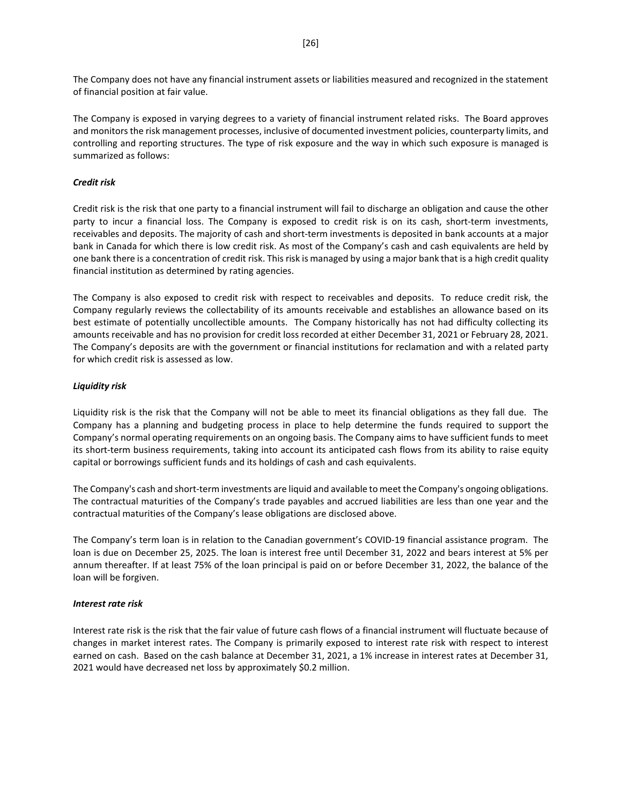The Company does not have any financial instrument assets or liabilities measured and recognized in the statement of financial position at fair value.

The Company is exposed in varying degrees to a variety of financial instrument related risks. The Board approves and monitors the risk management processes, inclusive of documented investment policies, counterparty limits, and controlling and reporting structures. The type of risk exposure and the way in which such exposure is managed is summarized as follows:

### *Credit risk*

Credit risk is the risk that one party to a financial instrument will fail to discharge an obligation and cause the other party to incur a financial loss. The Company is exposed to credit risk is on its cash, short-term investments, receivables and deposits. The majority of cash and short-term investments is deposited in bank accounts at a major bank in Canada for which there is low credit risk. As most of the Company's cash and cash equivalents are held by one bank there is a concentration of credit risk. This risk is managed by using a major bank that is a high credit quality financial institution as determined by rating agencies.

The Company is also exposed to credit risk with respect to receivables and deposits. To reduce credit risk, the Company regularly reviews the collectability of its amounts receivable and establishes an allowance based on its best estimate of potentially uncollectible amounts. The Company historically has not had difficulty collecting its amounts receivable and has no provision for credit loss recorded at either December 31, 2021 or February 28, 2021. The Company's deposits are with the government or financial institutions for reclamation and with a related party for which credit risk is assessed as low.

# *Liquidity risk*

Liquidity risk is the risk that the Company will not be able to meet its financial obligations as they fall due. The Company has a planning and budgeting process in place to help determine the funds required to support the Company's normal operating requirements on an ongoing basis. The Company aims to have sufficient funds to meet its short-term business requirements, taking into account its anticipated cash flows from its ability to raise equity capital or borrowings sufficient funds and its holdings of cash and cash equivalents.

The Company's cash and short-term investments are liquid and available to meet the Company's ongoing obligations. The contractual maturities of the Company's trade payables and accrued liabilities are less than one year and the contractual maturities of the Company's lease obligations are disclosed above.

The Company's term loan is in relation to the Canadian government's COVID-19 financial assistance program. The loan is due on December 25, 2025. The loan is interest free until December 31, 2022 and bears interest at 5% per annum thereafter. If at least 75% of the loan principal is paid on or before December 31, 2022, the balance of the loan will be forgiven.

### *Interest rate risk*

Interest rate risk is the risk that the fair value of future cash flows of a financial instrument will fluctuate because of changes in market interest rates. The Company is primarily exposed to interest rate risk with respect to interest earned on cash. Based on the cash balance at December 31, 2021, a 1% increase in interest rates at December 31, 2021 would have decreased net loss by approximately \$0.2 million.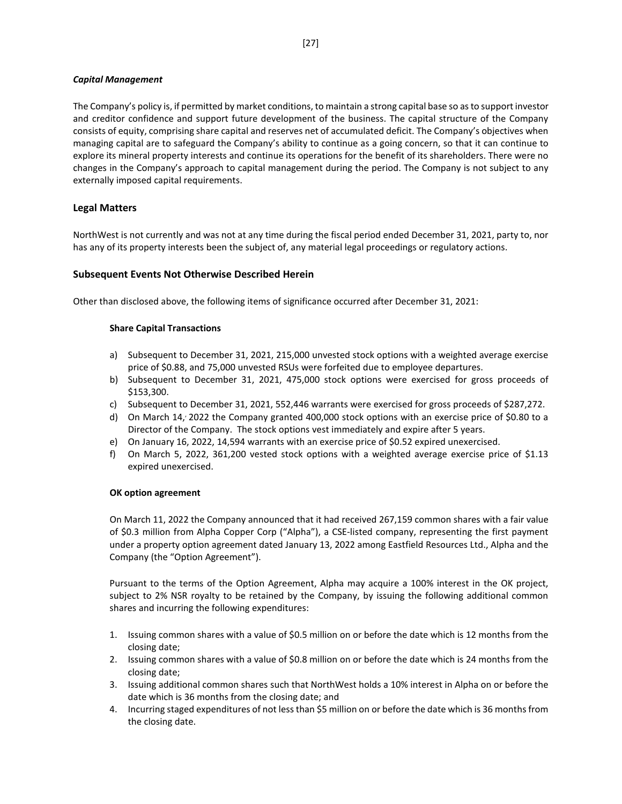# *Capital Management*

The Company's policy is, if permitted by market conditions, to maintain a strong capital base so as to support investor and creditor confidence and support future development of the business. The capital structure of the Company consists of equity, comprising share capital and reserves net of accumulated deficit. The Company's objectives when managing capital are to safeguard the Company's ability to continue as a going concern, so that it can continue to explore its mineral property interests and continue its operations for the benefit of its shareholders. There were no changes in the Company's approach to capital management during the period. The Company is not subject to any externally imposed capital requirements.

# **Legal Matters**

NorthWest is not currently and was not at any time during the fiscal period ended December 31, 2021, party to, nor has any of its property interests been the subject of, any material legal proceedings or regulatory actions.

# **Subsequent Events Not Otherwise Described Herein**

Other than disclosed above, the following items of significance occurred after December 31, 2021:

### **Share Capital Transactions**

- a) Subsequent to December 31, 2021, 215,000 unvested stock options with a weighted average exercise price of \$0.88, and 75,000 unvested RSUs were forfeited due to employee departures.
- b) Subsequent to December 31, 2021, 475,000 stock options were exercised for gross proceeds of \$153,300.
- c) Subsequent to December 31, 2021, 552,446 warrants were exercised for gross proceeds of \$287,272.
- d) On March 14, 2022 the Company granted 400,000 stock options with an exercise price of \$0.80 to a Director of the Company. The stock options vest immediately and expire after 5 years.
- e) On January 16, 2022, 14,594 warrants with an exercise price of \$0.52 expired unexercised.
- f) On March 5, 2022, 361,200 vested stock options with a weighted average exercise price of \$1.13 expired unexercised.

### **OK option agreement**

On March 11, 2022 the Company announced that it had received 267,159 common shares with a fair value of \$0.3 million from Alpha Copper Corp ("Alpha"), a CSE-listed company, representing the first payment under a property option agreement dated January 13, 2022 among Eastfield Resources Ltd., Alpha and the Company (the "Option Agreement").

Pursuant to the terms of the Option Agreement, Alpha may acquire a 100% interest in the OK project, subject to 2% NSR royalty to be retained by the Company, by issuing the following additional common shares and incurring the following expenditures:

- 1. Issuing common shares with a value of \$0.5 million on or before the date which is 12 months from the closing date;
- 2. Issuing common shares with a value of \$0.8 million on or before the date which is 24 months from the closing date;
- 3. Issuing additional common shares such that NorthWest holds a 10% interest in Alpha on or before the date which is 36 months from the closing date; and
- 4. Incurring staged expenditures of not less than \$5 million on or before the date which is 36 months from the closing date.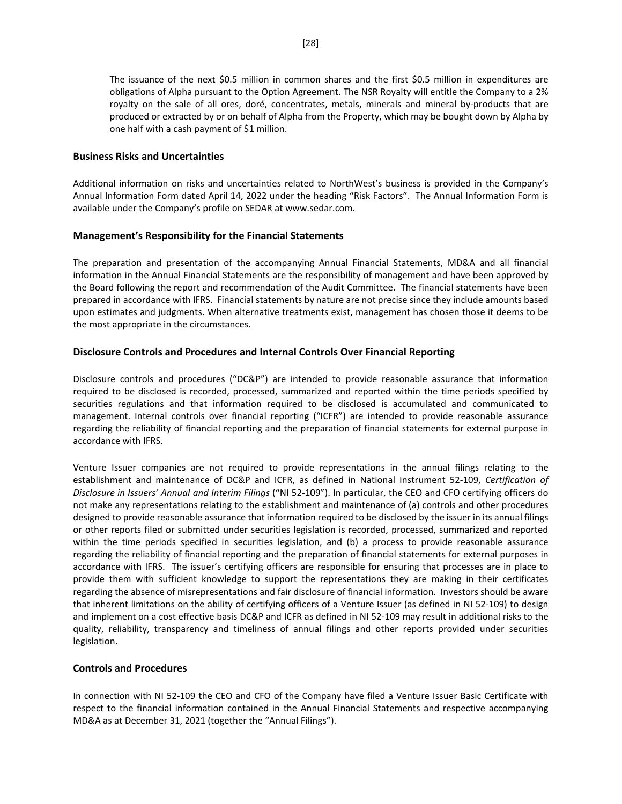The issuance of the next \$0.5 million in common shares and the first \$0.5 million in expenditures are obligations of Alpha pursuant to the Option Agreement. The NSR Royalty will entitle the Company to a 2% royalty on the sale of all ores, doré, concentrates, metals, minerals and mineral by-products that are produced or extracted by or on behalf of Alpha from the Property, which may be bought down by Alpha by one half with a cash payment of \$1 million.

# **Business Risks and Uncertainties**

Additional information on risks and uncertainties related to NorthWest's business is provided in the Company's Annual Information Form dated April 14, 2022 under the heading "Risk Factors". The Annual Information Form is available under the Company's profile on SEDAR at www.sedar.com.

# **Management's Responsibility for the Financial Statements**

The preparation and presentation of the accompanying Annual Financial Statements, MD&A and all financial information in the Annual Financial Statements are the responsibility of management and have been approved by the Board following the report and recommendation of the Audit Committee. The financial statements have been prepared in accordance with IFRS. Financial statements by nature are not precise since they include amounts based upon estimates and judgments. When alternative treatments exist, management has chosen those it deems to be the most appropriate in the circumstances.

# **Disclosure Controls and Procedures and Internal Controls Over Financial Reporting**

Disclosure controls and procedures ("DC&P") are intended to provide reasonable assurance that information required to be disclosed is recorded, processed, summarized and reported within the time periods specified by securities regulations and that information required to be disclosed is accumulated and communicated to management. Internal controls over financial reporting ("ICFR") are intended to provide reasonable assurance regarding the reliability of financial reporting and the preparation of financial statements for external purpose in accordance with IFRS.

Venture Issuer companies are not required to provide representations in the annual filings relating to the establishment and maintenance of DC&P and ICFR, as defined in National Instrument 52-109, *Certification of Disclosure in Issuers' Annual and Interim Filings* ("NI 52-109"). In particular, the CEO and CFO certifying officers do not make any representations relating to the establishment and maintenance of (a) controls and other procedures designed to provide reasonable assurance that information required to be disclosed by the issuer in its annual filings or other reports filed or submitted under securities legislation is recorded, processed, summarized and reported within the time periods specified in securities legislation, and (b) a process to provide reasonable assurance regarding the reliability of financial reporting and the preparation of financial statements for external purposes in accordance with IFRS. The issuer's certifying officers are responsible for ensuring that processes are in place to provide them with sufficient knowledge to support the representations they are making in their certificates regarding the absence of misrepresentations and fair disclosure of financial information. Investors should be aware that inherent limitations on the ability of certifying officers of a Venture Issuer (as defined in NI 52-109) to design and implement on a cost effective basis DC&P and ICFR as defined in NI 52-109 may result in additional risks to the quality, reliability, transparency and timeliness of annual filings and other reports provided under securities legislation.

# **Controls and Procedures**

In connection with NI 52-109 the CEO and CFO of the Company have filed a Venture Issuer Basic Certificate with respect to the financial information contained in the Annual Financial Statements and respective accompanying MD&A as at December 31, 2021 (together the "Annual Filings").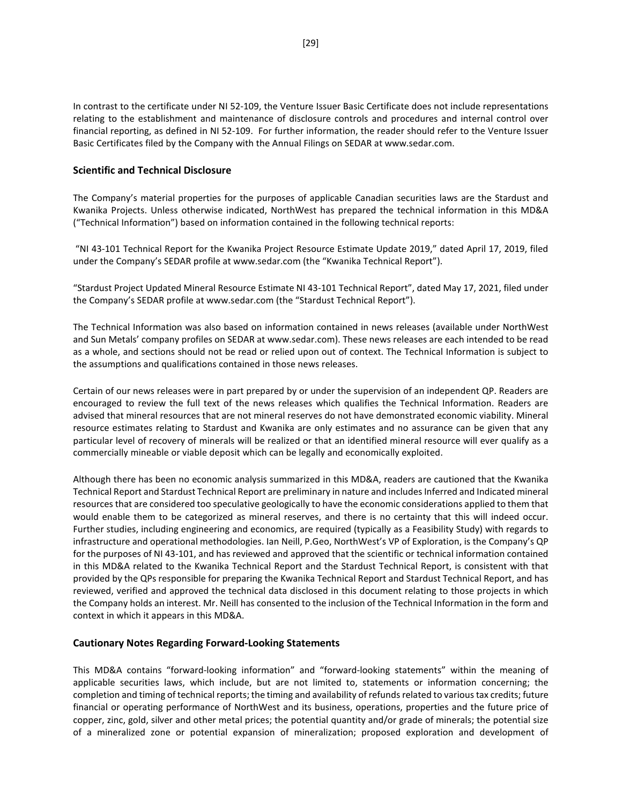In contrast to the certificate under NI 52-109, the Venture Issuer Basic Certificate does not include representations relating to the establishment and maintenance of disclosure controls and procedures and internal control over financial reporting, as defined in NI 52-109. For further information, the reader should refer to the Venture Issuer Basic Certificates filed by the Company with the Annual Filings on SEDAR at www.sedar.com.

# **Scientific and Technical Disclosure**

The Company's material properties for the purposes of applicable Canadian securities laws are the Stardust and Kwanika Projects. Unless otherwise indicated, NorthWest has prepared the technical information in this MD&A ("Technical Information") based on information contained in the following technical reports:

"NI 43-101 Technical Report for the Kwanika Project Resource Estimate Update 2019," dated April 17, 2019, filed under the Company's SEDAR profile at [www.sedar.com](http://www.sedar.com/) (the "Kwanika Technical Report").

"Stardust Project Updated Mineral Resource Estimate NI 43-101 Technical Report", dated May 17, 2021, filed under the Company's SEDAR profile a[t www.sedar.com](http://www.sedar.com/) (the "Stardust Technical Report").

The Technical Information was also based on information contained in news releases (available under NorthWest and Sun Metals' company profiles on SEDAR at www.sedar.com). These news releases are each intended to be read as a whole, and sections should not be read or relied upon out of context. The Technical Information is subject to the assumptions and qualifications contained in those news releases.

Certain of our news releases were in part prepared by or under the supervision of an independent QP. Readers are encouraged to review the full text of the news releases which qualifies the Technical Information. Readers are advised that mineral resources that are not mineral reserves do not have demonstrated economic viability. Mineral resource estimates relating to Stardust and Kwanika are only estimates and no assurance can be given that any particular level of recovery of minerals will be realized or that an identified mineral resource will ever qualify as a commercially mineable or viable deposit which can be legally and economically exploited.

Although there has been no economic analysis summarized in this MD&A, readers are cautioned that the Kwanika Technical Report and Stardust Technical Report are preliminary in nature and includes Inferred and Indicated mineral resources that are considered too speculative geologically to have the economic considerations applied to them that would enable them to be categorized as mineral reserves, and there is no certainty that this will indeed occur. Further studies, including engineering and economics, are required (typically as a Feasibility Study) with regards to infrastructure and operational methodologies. Ian Neill, P.Geo, NorthWest's VP of Exploration, is the Company's QP for the purposes of NI 43-101, and has reviewed and approved that the scientific or technical information contained in this MD&A related to the Kwanika Technical Report and the Stardust Technical Report, is consistent with that provided by the QPs responsible for preparing the Kwanika Technical Report and Stardust Technical Report, and has reviewed, verified and approved the technical data disclosed in this document relating to those projects in which the Company holds an interest. Mr. Neill has consented to the inclusion of the Technical Information in the form and context in which it appears in this MD&A.

### **Cautionary Notes Regarding Forward-Looking Statements**

This MD&A contains "forward-looking information" and "forward-looking statements" within the meaning of applicable securities laws, which include, but are not limited to, statements or information concerning; the completion and timing of technical reports; the timing and availability of refunds related to various tax credits; future financial or operating performance of NorthWest and its business, operations, properties and the future price of copper, zinc, gold, silver and other metal prices; the potential quantity and/or grade of minerals; the potential size of a mineralized zone or potential expansion of mineralization; proposed exploration and development of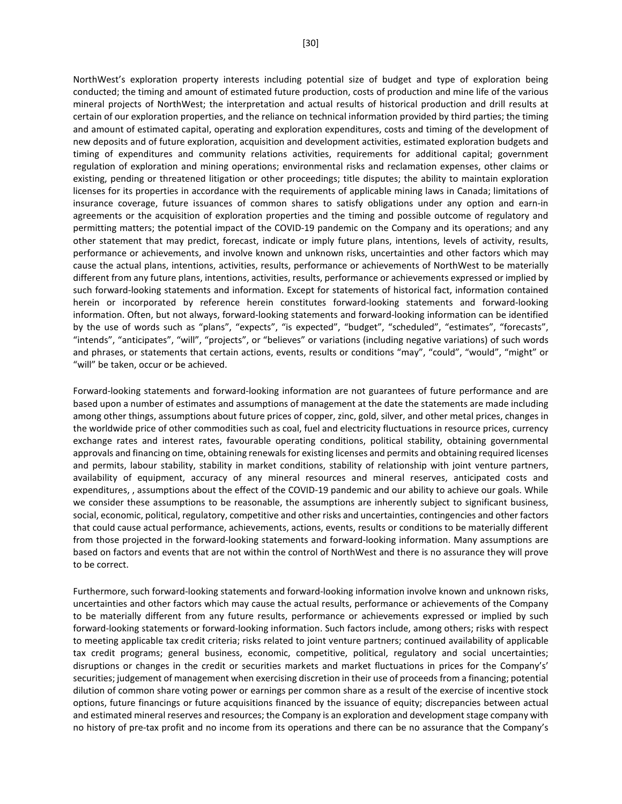NorthWest's exploration property interests including potential size of budget and type of exploration being conducted; the timing and amount of estimated future production, costs of production and mine life of the various mineral projects of NorthWest; the interpretation and actual results of historical production and drill results at certain of our exploration properties, and the reliance on technical information provided by third parties; the timing and amount of estimated capital, operating and exploration expenditures, costs and timing of the development of new deposits and of future exploration, acquisition and development activities, estimated exploration budgets and timing of expenditures and community relations activities, requirements for additional capital; government regulation of exploration and mining operations; environmental risks and reclamation expenses, other claims or existing, pending or threatened litigation or other proceedings; title disputes; the ability to maintain exploration licenses for its properties in accordance with the requirements of applicable mining laws in Canada; limitations of insurance coverage, future issuances of common shares to satisfy obligations under any option and earn-in agreements or the acquisition of exploration properties and the timing and possible outcome of regulatory and permitting matters; the potential impact of the COVID-19 pandemic on the Company and its operations; and any other statement that may predict, forecast, indicate or imply future plans, intentions, levels of activity, results, performance or achievements, and involve known and unknown risks, uncertainties and other factors which may cause the actual plans, intentions, activities, results, performance or achievements of NorthWest to be materially different from any future plans, intentions, activities, results, performance or achievements expressed or implied by such forward-looking statements and information. Except for statements of historical fact, information contained herein or incorporated by reference herein constitutes forward-looking statements and forward-looking information. Often, but not always, forward-looking statements and forward-looking information can be identified by the use of words such as "plans", "expects", "is expected", "budget", "scheduled", "estimates", "forecasts", "intends", "anticipates", "will", "projects", or "believes" or variations (including negative variations) of such words and phrases, or statements that certain actions, events, results or conditions "may", "could", "would", "might" or "will" be taken, occur or be achieved.

Forward-looking statements and forward-looking information are not guarantees of future performance and are based upon a number of estimates and assumptions of management at the date the statements are made including among other things, assumptions about future prices of copper, zinc, gold, silver, and other metal prices, changes in the worldwide price of other commodities such as coal, fuel and electricity fluctuations in resource prices, currency exchange rates and interest rates, favourable operating conditions, political stability, obtaining governmental approvals and financing on time, obtaining renewals for existing licenses and permits and obtaining required licenses and permits, labour stability, stability in market conditions, stability of relationship with joint venture partners, availability of equipment, accuracy of any mineral resources and mineral reserves, anticipated costs and expenditures, , assumptions about the effect of the COVID-19 pandemic and our ability to achieve our goals. While we consider these assumptions to be reasonable, the assumptions are inherently subject to significant business, social, economic, political, regulatory, competitive and other risks and uncertainties, contingencies and other factors that could cause actual performance, achievements, actions, events, results or conditions to be materially different from those projected in the forward-looking statements and forward-looking information. Many assumptions are based on factors and events that are not within the control of NorthWest and there is no assurance they will prove to be correct.

Furthermore, such forward-looking statements and forward-looking information involve known and unknown risks, uncertainties and other factors which may cause the actual results, performance or achievements of the Company to be materially different from any future results, performance or achievements expressed or implied by such forward-looking statements or forward-looking information. Such factors include, among others; risks with respect to meeting applicable tax credit criteria; risks related to joint venture partners; continued availability of applicable tax credit programs; general business, economic, competitive, political, regulatory and social uncertainties; disruptions or changes in the credit or securities markets and market fluctuations in prices for the Company's' securities; judgement of management when exercising discretion in their use of proceeds from a financing; potential dilution of common share voting power or earnings per common share as a result of the exercise of incentive stock options, future financings or future acquisitions financed by the issuance of equity; discrepancies between actual and estimated mineral reserves and resources; the Company is an exploration and development stage company with no history of pre-tax profit and no income from its operations and there can be no assurance that the Company's